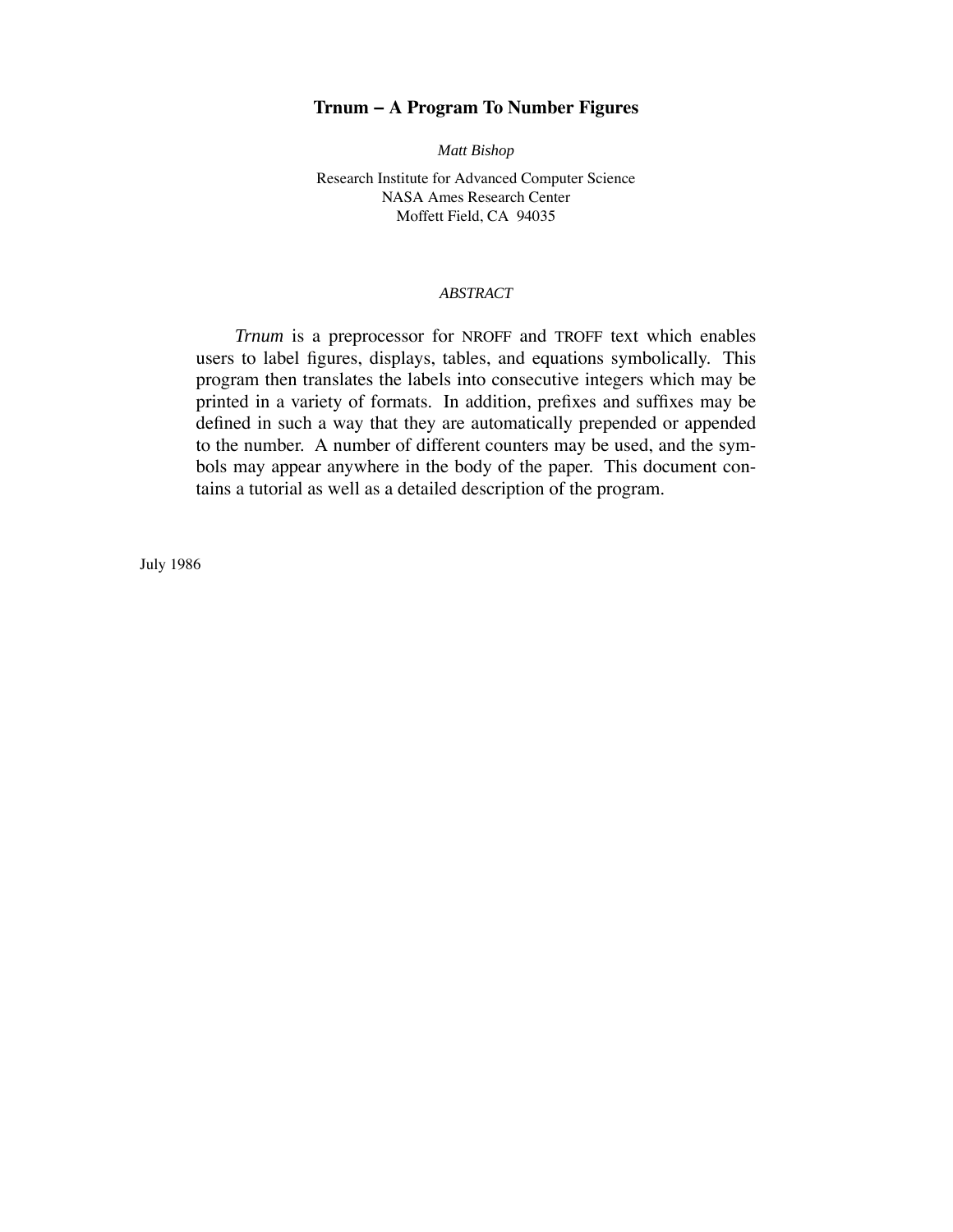#### **Tr num − A Program To Number Figures**

*Matt Bishop*

Research Institute for Advanced Computer Science NASA Ames Research Center Moffett Field, CA 94035

#### *ABSTRACT*

*Trnum* is a preprocessor for NROFF and TROFF text which enables users to label figures, displays, tables, and equations symbolically. This program then translates the labels into consecutive integers which may be printed in a variety of formats. In addition, prefixes and suffixes may be defined in such a way that they are automatically prepended or appended to the number. A number of different counters may be used, and the symbols may appear anywhere in the body of the paper. This document contains a tutorial as well as a detailed description of the program.

July 1986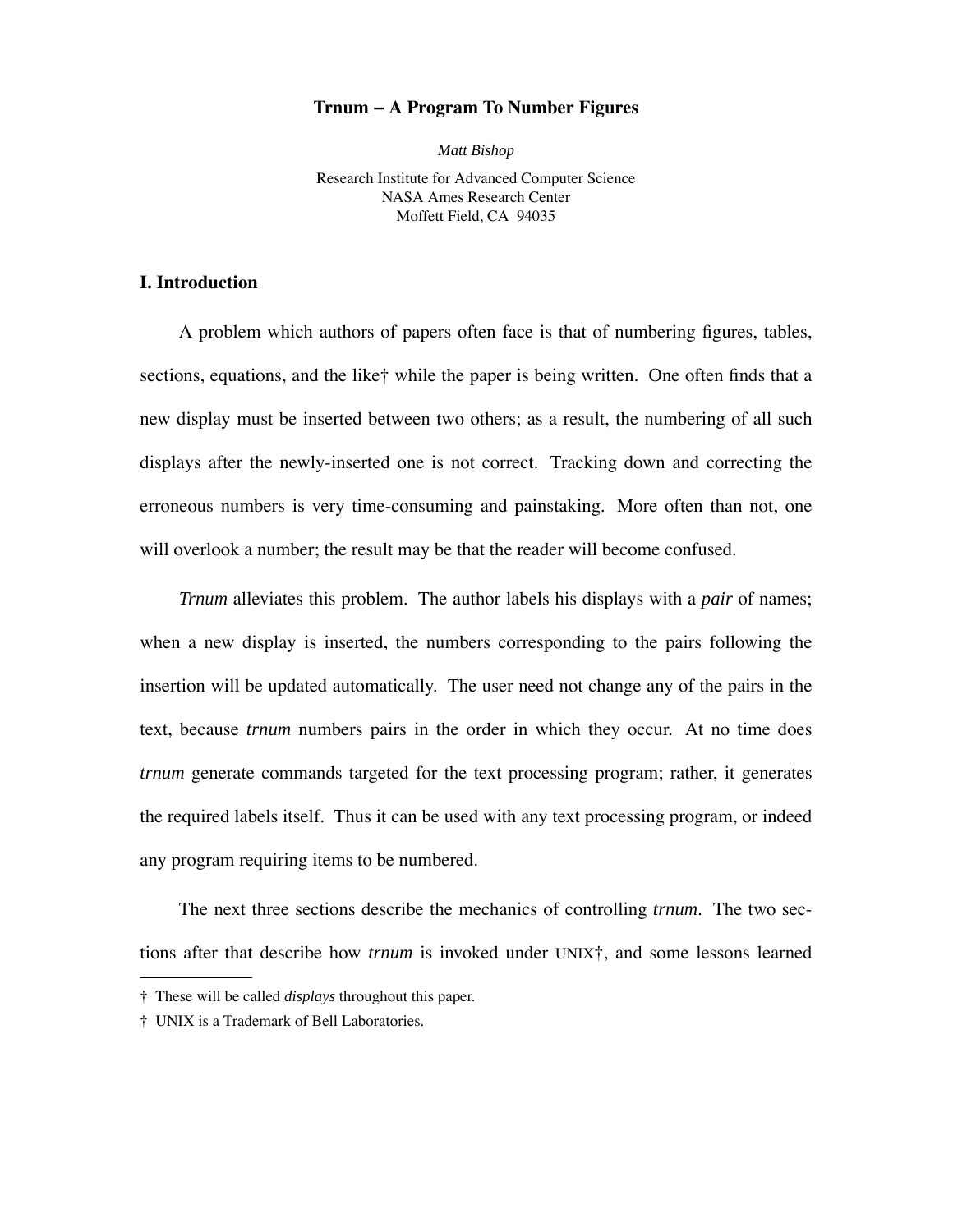#### **Tr num − A Program To Number Figures**

*Matt Bishop* Research Institute for Advanced Computer Science NASA Ames Research Center Moffett Field, CA 94035

# **I. Introduction**

A problem which authors of papers often face is that of numbering figures, tables, sections, equations, and the like<sup>†</sup> while the paper is being written. One often finds that a new display must be inserted between two others; as a result, the numbering of all such displays after the newly-inserted one is not correct. Tracking down and correcting the erroneous numbers is very time-consuming and painstaking. More often than not, one will overlook a number; the result may be that the reader will become confused.

*Trnum* alleviates this problem. The author labels his displays with a *pair* of names; when a new display is inserted, the numbers corresponding to the pairs following the insertion will be updated automatically. The user need not change any of the pairs in the text, because *trnum* numbers pairs in the order in which they occur. At no time does *trnum* generate commands targeted for the text processing program; rather, it generates the required labels itself. Thus it can be used with any text processing program, or indeed any program requiring items to be numbered.

The next three sections describe the mechanics of controlling *trnum*. The two sections after that describe how *trnum* is invoked under UNIX†, and some lessons learned

<sup>†</sup> These will be called *displays* throughout this paper.

<sup>†</sup> UNIX is a Trademark of Bell Laboratories.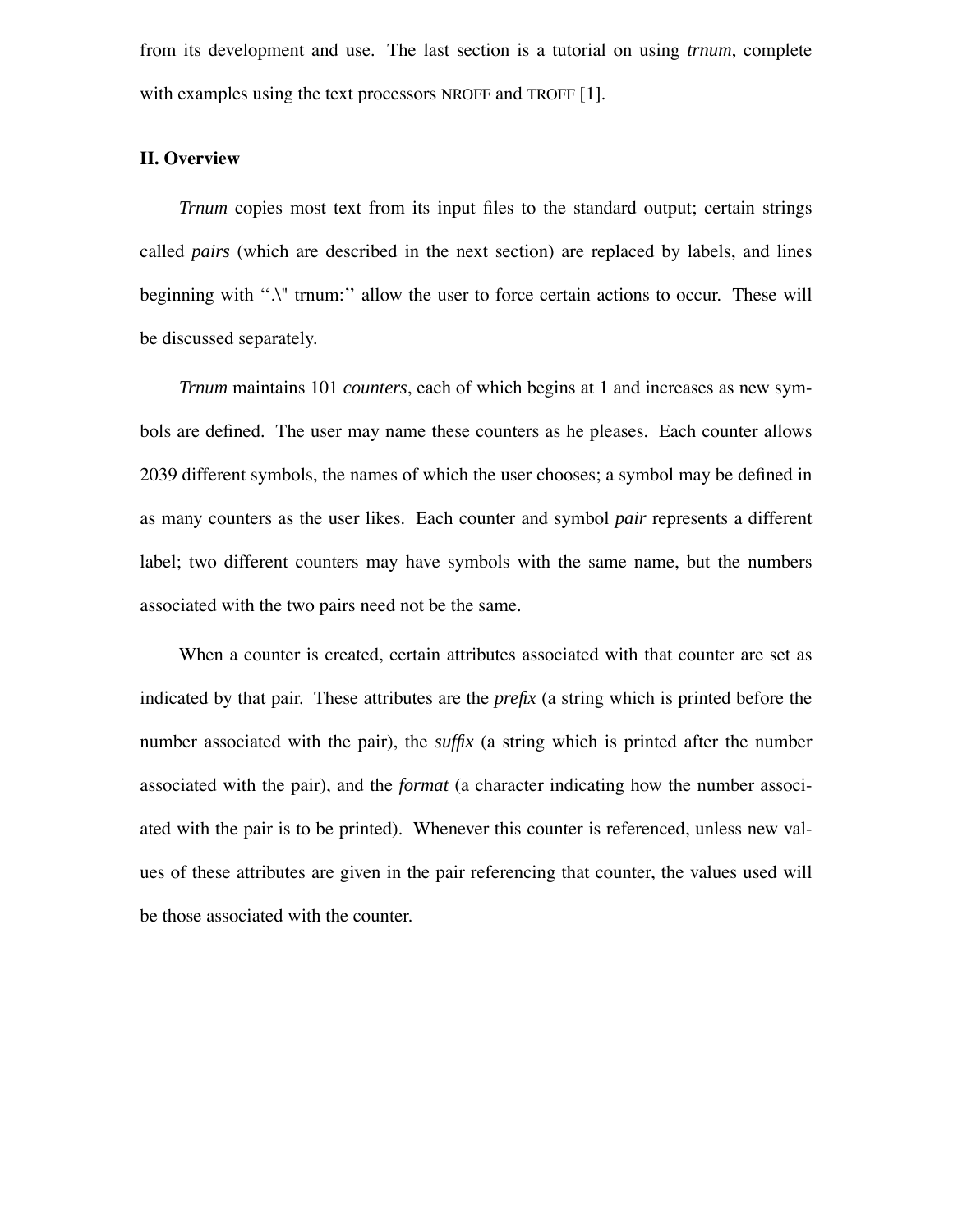from its development and use. The last section is a tutorial on using *trnum*, complete with examples using the text processors NROFF and TROFF [1].

# **II. Overview**

*Trnum* copies most text from its input files to the standard output; certain strings called *pairs* (which are described in the next section) are replaced by labels, and lines beginning with ".\" trnum:" allow the user to force certain actions to occur. These will be discussed separately.

*Trnum* maintains 101 *counters*, each of which begins at 1 and increases as new symbols are defined. The user may name these counters as he pleases. Each counter allows 2039 different symbols, the names of which the user chooses; a symbol may be defined in as many counters as the user likes. Each counter and symbol *pair* represents a different label; two different counters may have symbols with the same name, but the numbers associated with the two pairs need not be the same.

When a counter is created, certain attributes associated with that counter are set as indicated by that pair. These attributes are the *prefix* (a string which is printed before the number associated with the pair), the *suffix* (a string which is printed after the number associated with the pair), and the *format* (a character indicating how the number associated with the pair is to be printed). Whenever this counter is referenced, unless new values of these attributes are given in the pair referencing that counter, the values used will be those associated with the counter.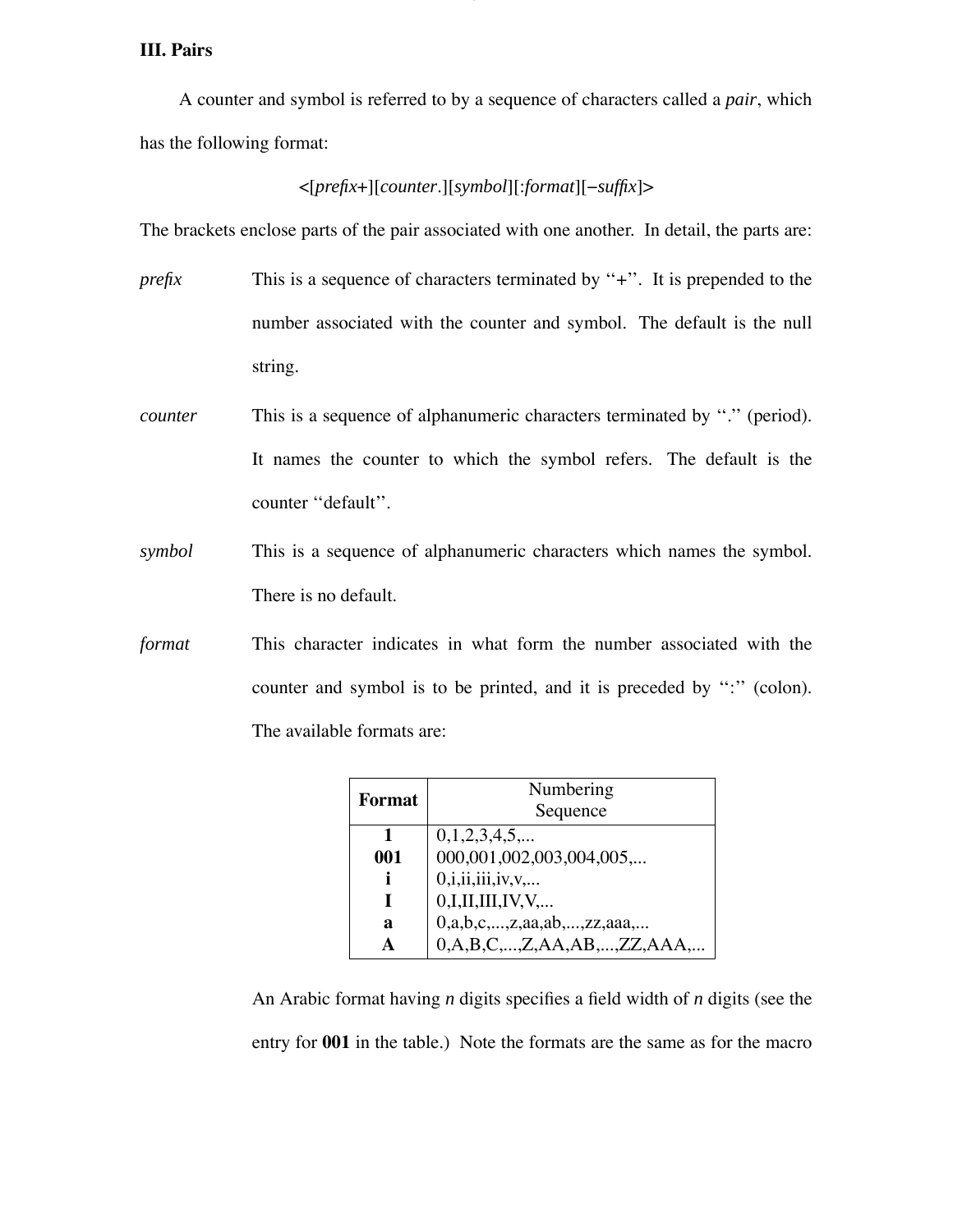## **III. Pairs**

A counter and symbol is referred to by a sequence of characters called a *pair*, which has the following format:

# <[*prefix*+][*counter*.][*symbol*][:*format*][−*suffix*]>

The brackets enclose parts of the pair associated with one another. In detail, the parts are:

- *prefix* This is a sequence of characters terminated by "+". It is prepended to the number associated with the counter and symbol. The default is the null string.
- *counter* This is a sequence of alphanumeric characters terminated by "." (period). It names the counter to which the symbol refers. The default is the counter ''default''.
- *symbol* This is a sequence of alphanumeric characters which names the symbol. There is no default.
- *format* This character indicates in what form the number associated with the counter and symbol is to be printed, and it is preceded by ":" (colon). The available formats are:

| <b>Format</b> | Numbering                                                |
|---------------|----------------------------------------------------------|
|               | Sequence                                                 |
|               | 0,1,2,3,4,5,                                             |
| 001           | 000,001,002,003,004,005,                                 |
|               | $0, i, ii, iii, iv, v, \ldots$                           |
|               | 0,I,II,III,IV,V,                                         |
| a             | 0,a,b,c,,z,aa,ab,,zz,aaa,                                |
|               | $0, A, B, C, \ldots, Z, AA, AB, \ldots, ZZ, AAA, \ldots$ |

An Arabic format having *n* digits specifies a field width of *n* digits (see the entry for **001** in the table.) Note the formats are the same as for the macro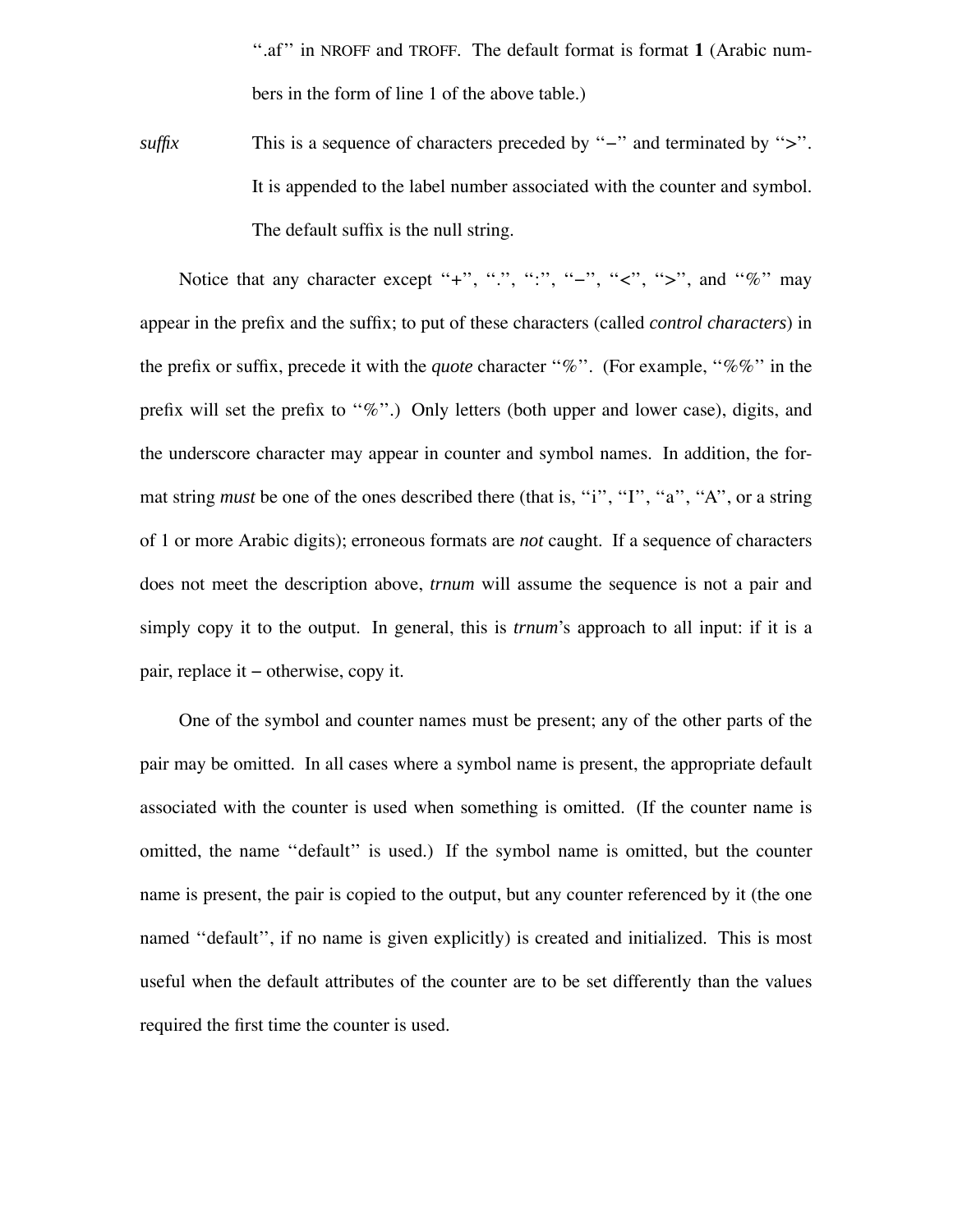".af" in NROFF and TROFF. The default format is format 1 (Arabic numbers in the form of line 1 of the above table.)

*suffix* This is a sequence of characters preceded by "−" and terminated by ">". It is appended to the label number associated with the counter and symbol. The default suffix is the null string.

Notice that any character except "+", ".", ".", "-", "<", ">", and "%" may appear in the prefix and the suffix; to put of these characters (called *control characters*) in the prefix or suffix, precede it with the *quote* character ''%''. (For example, ''%%'' in the prefix will set the prefix to "%".) Only letters (both upper and lower case), digits, and the underscore character may appear in counter and symbol names. In addition, the format string *must* be one of the ones described there (that is, "i", "I", "a", "A", or a string of 1 or more Arabic digits); erroneous formats are *not* caught. If a sequence of characters does not meet the description above, *trnum* will assume the sequence is not a pair and simply copy it to the output. In general, this is *trnum*'s approach to all input: if it is a pair, replace it – otherwise, copy it.

One of the symbol and counter names must be present; any of the other parts of the pair may be omitted. In all cases where a symbol name is present, the appropriate default associated with the counter is used when something is omitted. (If the counter name is omitted, the name ''default'' is used.) If the symbol name is omitted, but the counter name is present, the pair is copied to the output, but any counter referenced by it (the one named ''default'', if no name is given explicitly) is created and initialized. This is most useful when the default attributes of the counter are to be set differently than the values required the first time the counter is used.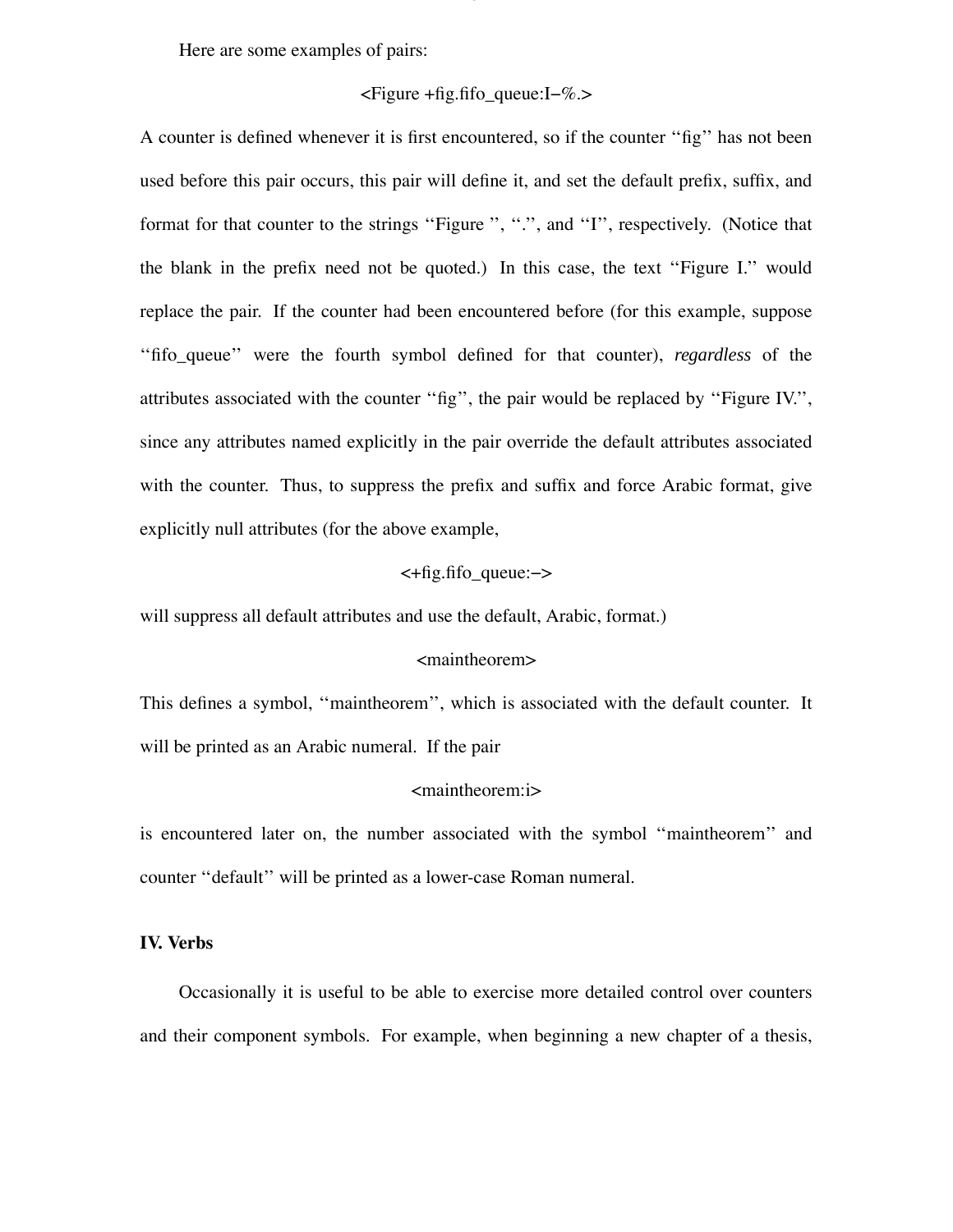Here are some examples of pairs:

#### <Figure +fig.fifo\_queue:I−%.>

A counter is defined whenever it is first encountered, so if the counter ''fig'' has not been used before this pair occurs, this pair will define it, and set the default prefix, suffix, and format for that counter to the strings "Figure ", ".", and "I", respectively. (Notice that the blank in the prefix need not be quoted.) In this case, the text ''Figure I.'' would replace the pair. If the counter had been encountered before (for this example, suppose ''fifo\_queue'' were the fourth symbol defined for that counter), *regardless* of the attributes associated with the counter ''fig'', the pair would be replaced by ''Figure IV.'', since any attributes named explicitly in the pair override the default attributes associated with the counter. Thus, to suppress the prefix and suffix and force Arabic format, give explicitly null attributes (for the above example,

## <+fig.fifo\_queue:−>

will suppress all default attributes and use the default, Arabic, format.)

## <maintheorem>

This defines a symbol, ''maintheorem'', which is associated with the default counter. It will be printed as an Arabic numeral. If the pair

# <maintheorem:i>

is encountered later on, the number associated with the symbol ''maintheorem'' and counter ''default'' will be printed as a lower-case Roman numeral.

# **IV. Verbs**

Occasionally it is useful to be able to exercise more detailed control over counters and their component symbols. For example, when beginning a new chapter of a thesis,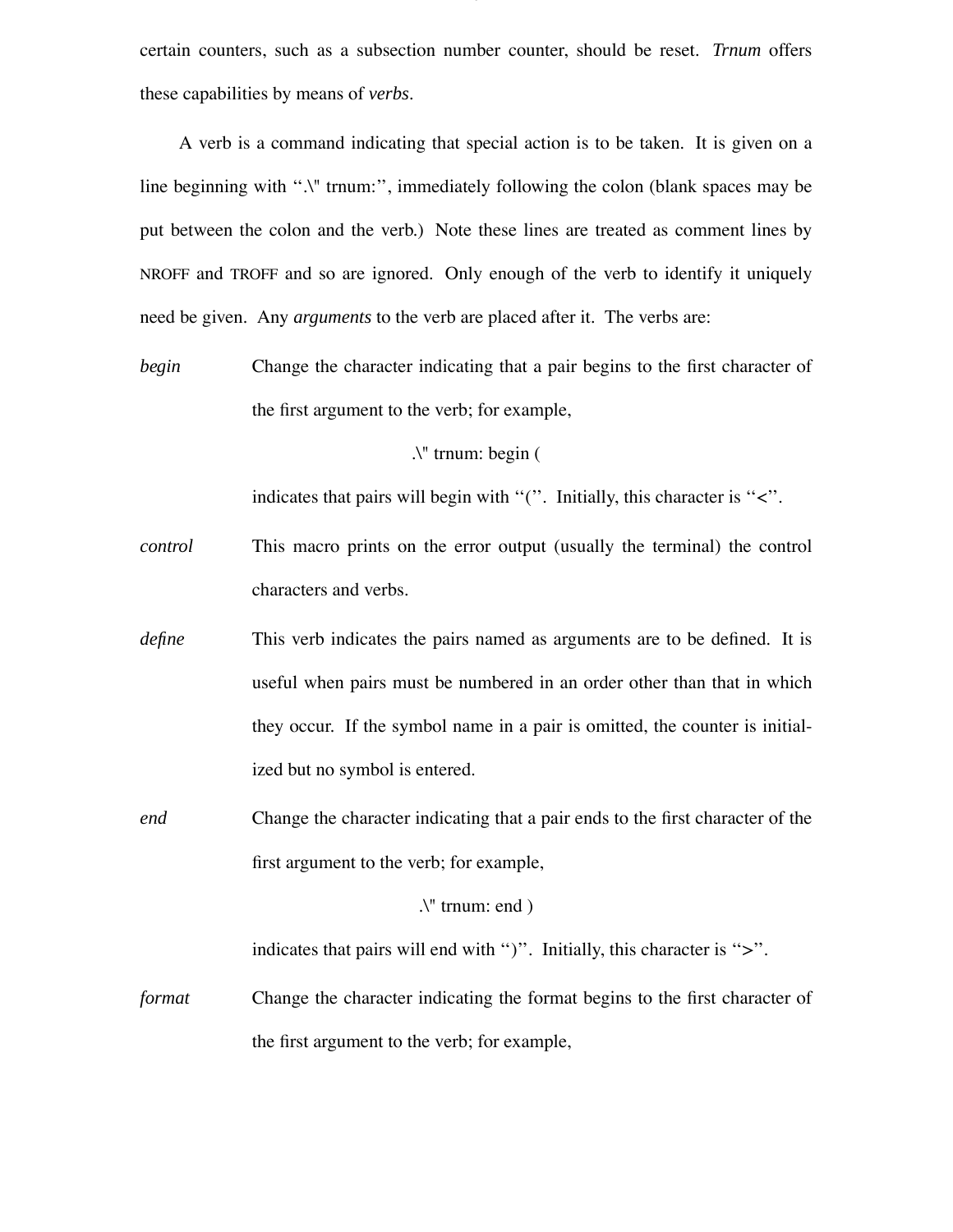certain counters, such as a subsection number counter, should be reset. *Trnum* offers these capabilities by means of *verbs*.

A verb is a command indicating that special action is to be taken. It is given on a line beginning with ''.\" trnum:'', immediately following the colon (blank spaces may be put between the colon and the verb.) Note these lines are treated as comment lines by NROFF and TROFF and so are ignored. Only enough of the verb to identify it uniquely need be given. Any *arguments* to the verb are placed after it. The verbs are:

*begin* Change the character indicating that a pair begins to the first character of the first argument to the verb; for example,

# .\" trnum: begin (

indicates that pairs will begin with "(". Initially, this character is "<".

- *control* This macro prints on the error output (usually the terminal) the control characters and verbs.
- *define* This verb indicates the pairs named as arguments are to be defined. It is useful when pairs must be numbered in an order other than that in which they occur. If the symbol name in a pair is omitted, the counter is initialized but no symbol is entered.
- *end* Change the character indicating that a pair ends to the first character of the first argument to the verb; for example,

#### .\" trnum: end )

indicates that pairs will end with ")". Initially, this character is ">".

*format* Change the character indicating the format begins to the first character of the first argument to the verb; for example,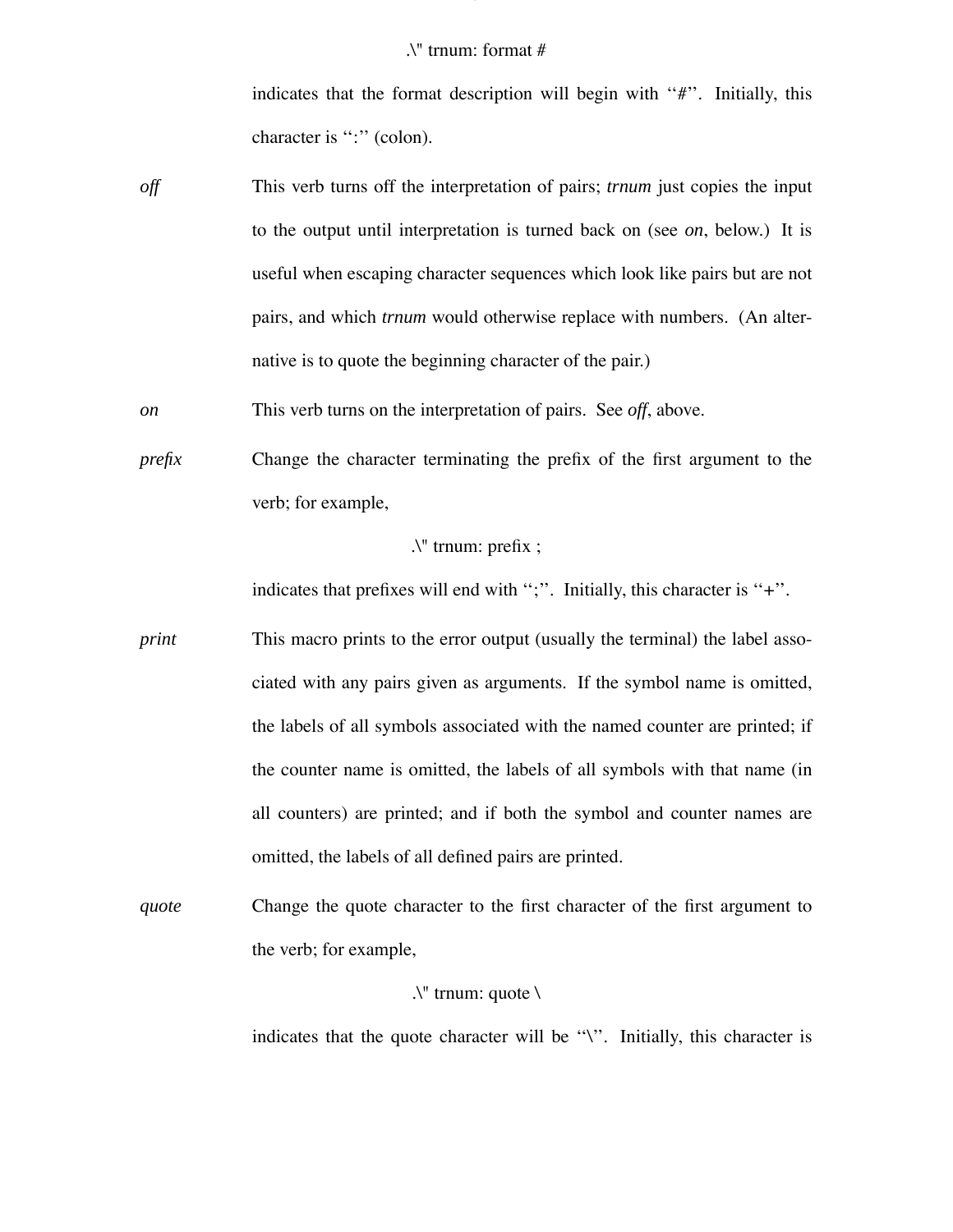indicates that the format description will begin with "#". Initially, this character is ":" (colon).

- *off* This verb turns off the interpretation of pairs; *trnum* just copies the input to the output until interpretation is turned back on (see *on*, below.) It is useful when escaping character sequences which look like pairs but are not pairs, and which *trnum* would otherwise replace with numbers. (An alternative is to quote the beginning character of the pair.)
- *on* This verb turns on the interpretation of pairs. See *off*, above.
- *prefix* Change the character terminating the prefix of the first argument to the verb; for example,

# .\" trnum: prefix ;

indicates that prefixes will end with ";". Initially, this character is " $+$ ".

- *print* This macro prints to the error output (usually the terminal) the label associated with any pairs given as arguments. If the symbol name is omitted, the labels of all symbols associated with the named counter are printed; if the counter name is omitted, the labels of all symbols with that name (in all counters) are printed; and if both the symbol and counter names are omitted, the labels of all defined pairs are printed.
- *quote* Change the quote character to the first character of the first argument to the verb; for example,

# .\" trnum: quote \

indicates that the quote character will be "\". Initially, this character is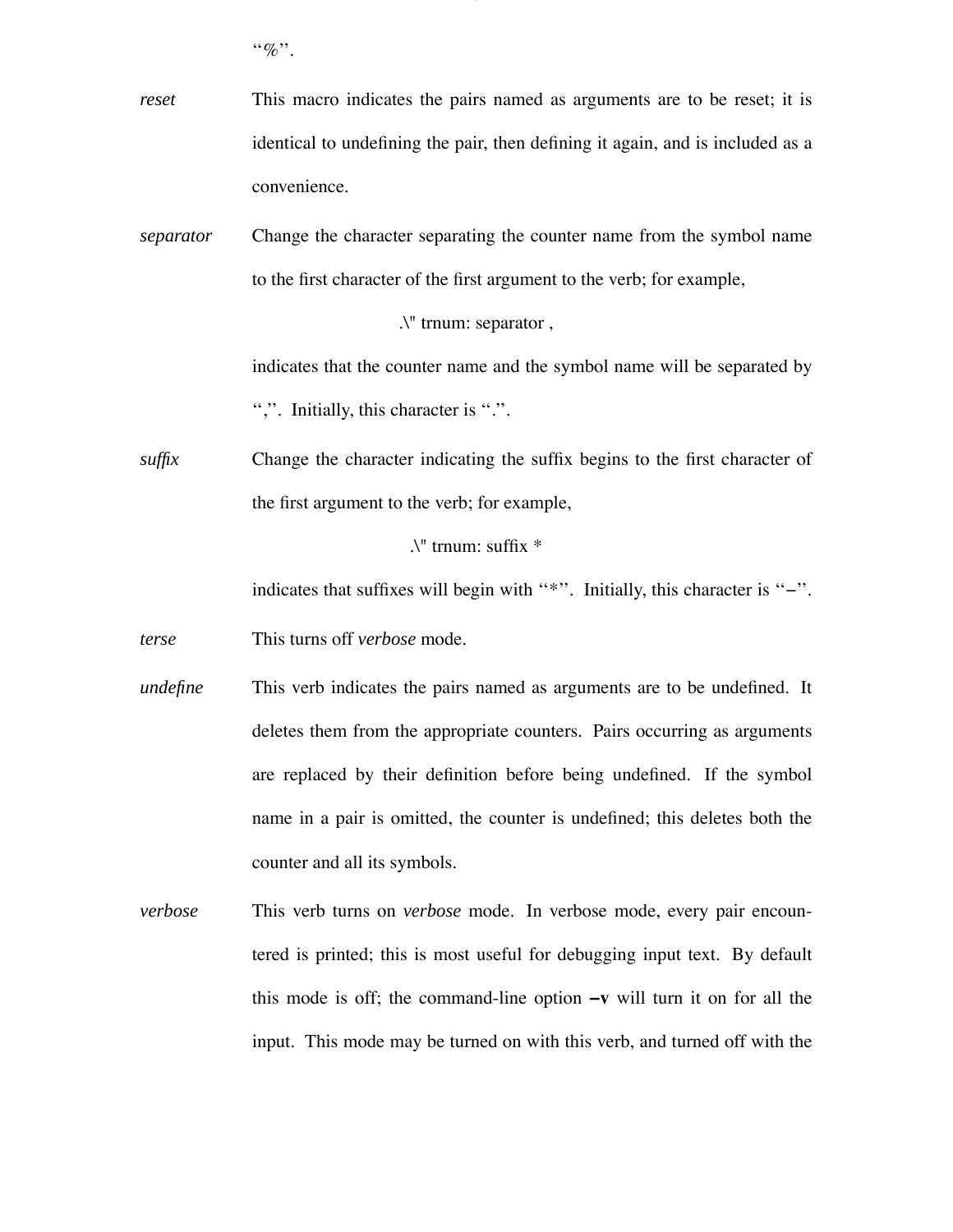$``\%"$ .

*reset* This macro indicates the pairs named as arguments are to be reset; it is identical to undefining the pair, then defining it again, and is included as a convenience.

*separator* Change the character separating the counter name from the symbol name to the first character of the first argument to the verb; for example,

.\" trnum: separator ,

indicates that the counter name and the symbol name will be separated by ",". Initially, this character is ".".

*suffix* Change the character indicating the suffix begins to the first character of the first argument to the verb; for example,

#### .\" trnum: suffix \*

indicates that suffixes will begin with ''\*''. Initially, this character is ''−''.

*terse* This turns off *verbose* mode.

- *undefine* This verb indicates the pairs named as arguments are to be undefined. It deletes them from the appropriate counters. Pairs occurring as arguments are replaced by their definition before being undefined. If the symbol name in a pair is omitted, the counter is undefined; this deletes both the counter and all its symbols.
- *verbose* This verb turns on *verbose* mode. In verbose mode, every pair encountered is printed; this is most useful for debugging input text. By default this mode is off; the command-line option **−v** will turn it on for all the input. This mode may be turned on with this verb, and turned off with the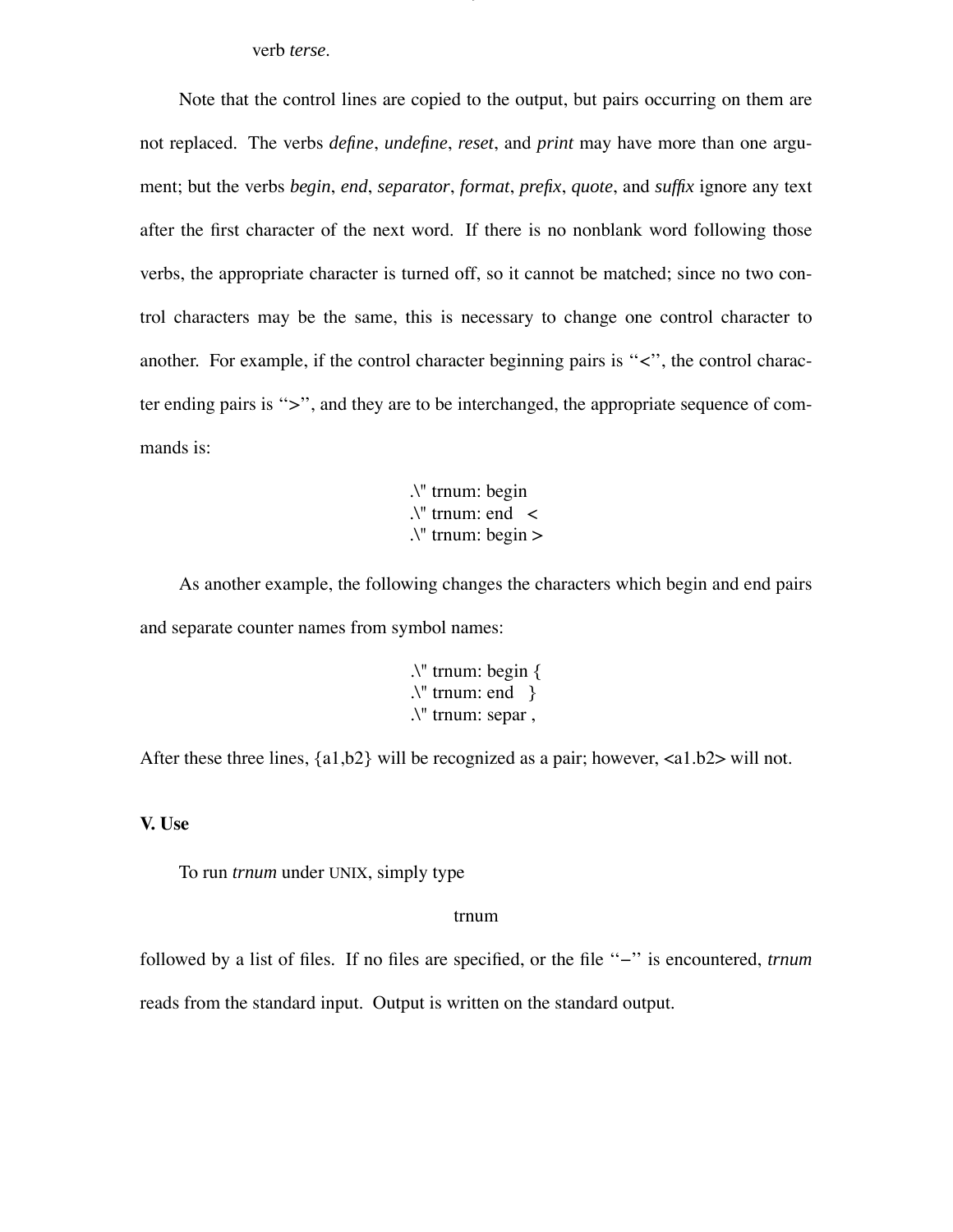#### verb *terse*.

Note that the control lines are copied to the output, but pairs occurring on them are not replaced. The verbs *define*, *undefine*, *reset*, and *print* may have more than one argument; but the verbs *begin*, *end*, *separator*, *format*, *prefix*, *quote*, and *suffix* ignore any text after the first character of the next word. If there is no nonblank word following those verbs, the appropriate character is turned off, so it cannot be matched; since no two control characters may be the same, this is necessary to change one control character to another. For example, if the control character beginning pairs is " $\lt$ ", the control character ending pairs is ''>'', and they are to be interchanged, the appropriate sequence of commands is:

> .\" trnum: begin  $\mathcal{N}$  trnum: end  $\mathcal{N}$  $\mathcal{N}$  trnum: begin  $>$

As another example, the following changes the characters which begin and end pairs and separate counter names from symbol names:

> .\" trnum: begin {  $\mathcal{N}$  trnum: end  $\mathcal{S}$ .\" trnum: separ ,

After these three lines, {a1,b2} will be recognized as a pair; however, <a1.b2> will not.

### **V. Use**

To run *trnum* under UNIX, simply type

#### trnum

followed by a list of files. If no files are specified, or the file ''−'' is encountered, *trnum*

reads from the standard input. Output is written on the standard output.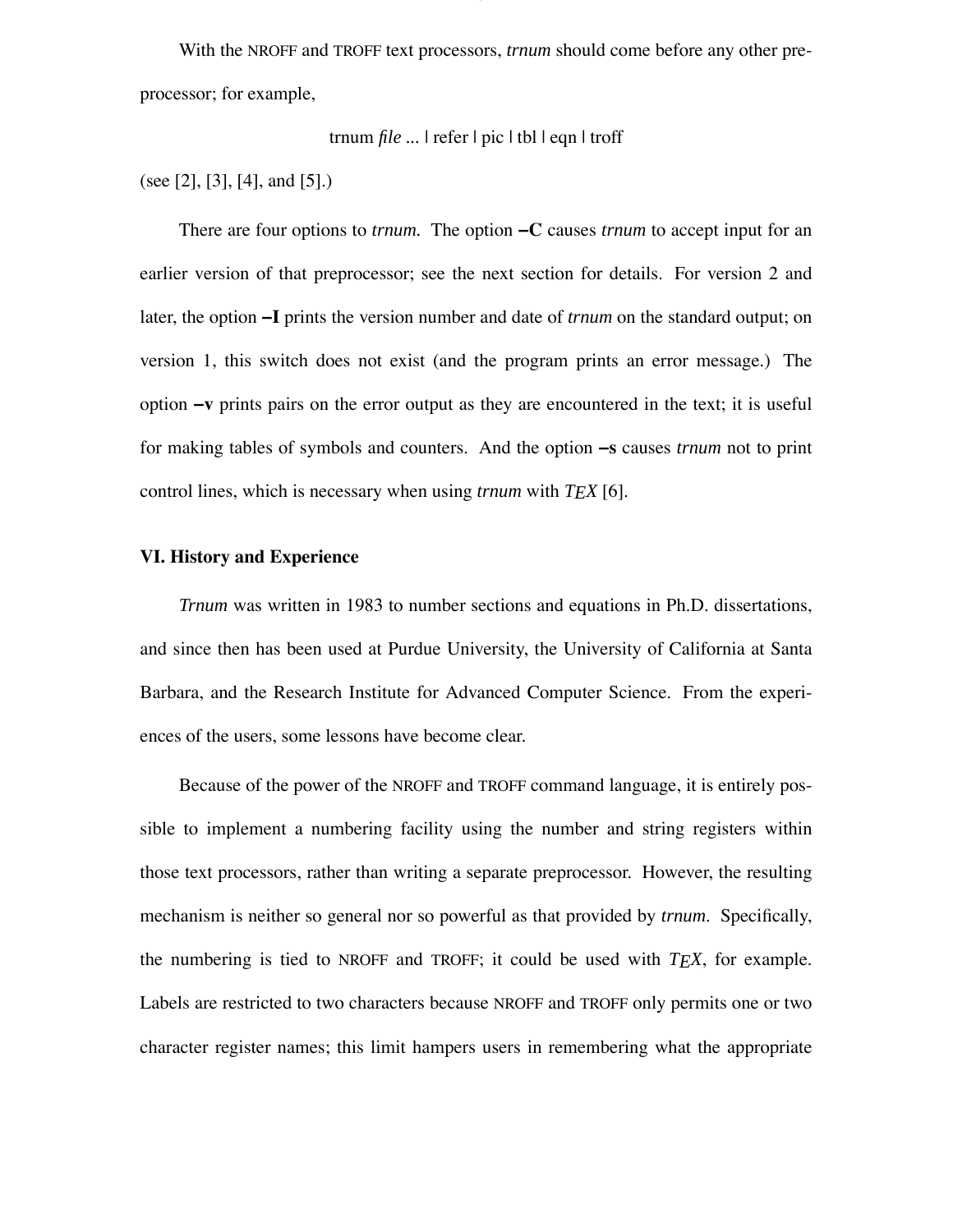With the NROFF and TROFF text processors, *trnum* should come before any other preprocessor; for example,

trnum *file ...* | refer | pic | tbl | eqn | troff

(see [2], [3], [4], and [5].)

There are four options to *trnum.* The option **−C** causes *trnum* to accept input for an earlier version of that preprocessor; see the next section for details. For version 2 and later, the option **−I** prints the version number and date of *trnum* on the standard output; on version 1, this switch does not exist (and the program prints an error message.) The option **−v** prints pairs on the error output as they are encountered in the text; it is useful for making tables of symbols and counters. And the option **−s** causes *trnum* not to print control lines, which is necessary when using *trnum* with *TEX* [6].

## **VI. History and Experience**

*Trnum* was written in 1983 to number sections and equations in Ph.D. dissertations, and since then has been used at Purdue University, the University of California at Santa Barbara, and the Research Institute for Advanced Computer Science. From the experiences of the users, some lessons have become clear.

Because of the power of the NROFF and TROFF command language, it is entirely possible to implement a numbering facility using the number and string registers within those text processors, rather than writing a separate preprocessor. However, the resulting mechanism is neither so general nor so powerful as that provided by *trnum*. Specifically, the numbering is tied to NROFF and TROFF; it could be used with *TEX*, for example. Labels are restricted to two characters because NROFF and TROFF only permits one or two character register names; this limit hampers users in remembering what the appropriate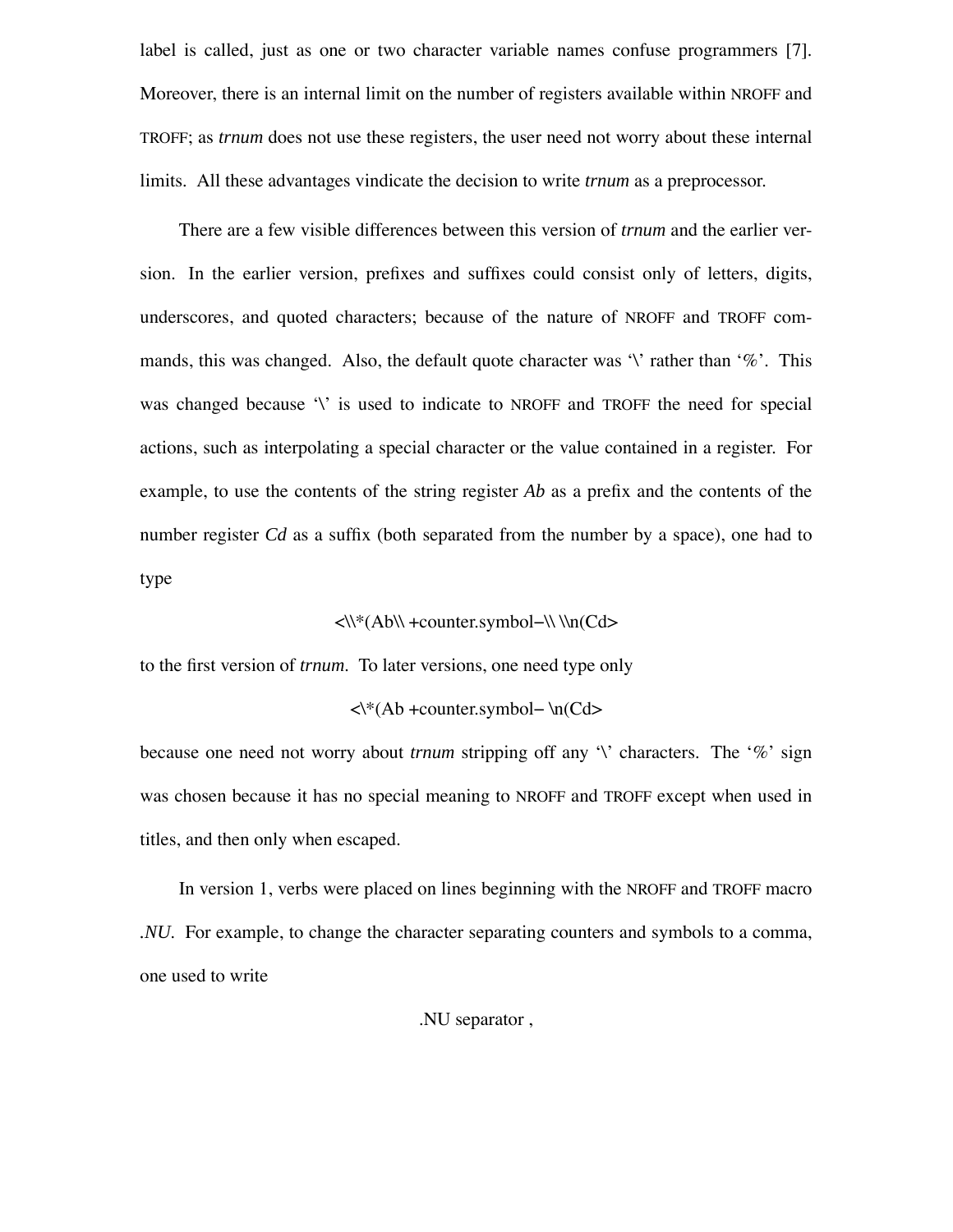label is called, just as one or two character variable names confuse programmers [7]. Moreover, there is an internal limit on the number of registers available within NROFF and TROFF; as *trnum* does not use these registers, the user need not worry about these internal limits. All these advantages vindicate the decision to write *trnum* as a preprocessor.

There are a few visible differences between this version of *trnum* and the earlier version. In the earlier version, prefixes and suffixes could consist only of letters, digits, underscores, and quoted characters; because of the nature of NROFF and TROFF commands, this was changed. Also, the default quote character was '\' rather than ' $\%$ '. This was changed because '\' is used to indicate to NROFF and TROFF the need for special actions, such as interpolating a special character or the value contained in a register. For example, to use the contents of the string register *Ab* as a prefix and the contents of the number register *Cd* as a suffix (both separated from the number by a space), one had to type

<\\\*(Ab\\ +counter.symbol−\\ \\n(Cd>

to the first version of *trnum*. To later versions, one need type only

$$
\langle \mathcal{A}^*(Ab + counter.symbol - \infty(Cd) \rangle
$$

because one need not worry about *trnum* stripping off any '\' characters. The '%' sign was chosen because it has no special meaning to NROFF and TROFF except when used in titles, and then only when escaped.

In version 1, verbs were placed on lines beginning with the NROFF and TROFF macro *.NU*. For example, to change the character separating counters and symbols to a comma, one used to write

.NU separator ,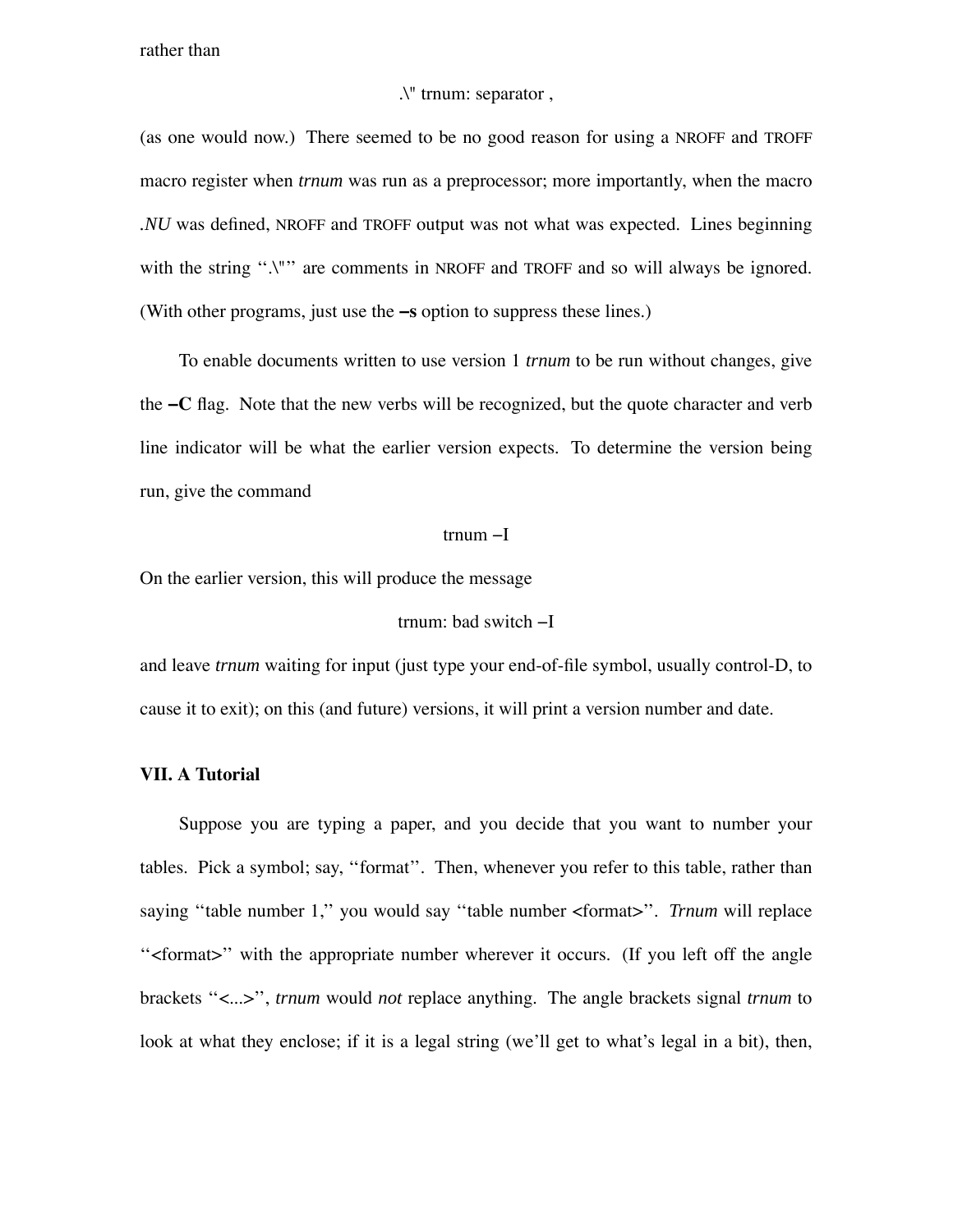rather than

## .\" trnum: separator ,

(as one would now.) There seemed to be no good reason for using a NROFF and TROFF macro register when *trnum* was run as a preprocessor; more importantly, when the macro *.NU* was defined, NROFF and TROFF output was not what was expected. Lines beginning with the string ".\"" are comments in NROFF and TROFF and so will always be ignored. (With other programs, just use the **−s** option to suppress these lines.)

To enable documents written to use version 1 *trnum* to be run without changes, give the **−C** flag. Note that the new verbs will be recognized, but the quote character and verb line indicator will be what the earlier version expects. To determine the version being run, give the command

#### trnum −I

On the earlier version, this will produce the message

#### trnum: bad switch −I

and leave *trnum* waiting for input (just type your end-of-file symbol, usually control-D, to cause it to exit); on this (and future) versions, it will print a version number and date.

#### **VII. A Tutorial**

Suppose you are typing a paper, and you decide that you want to number your tables. Pick a symbol; say, ''format''. Then, whenever you refer to this table, rather than saying ''table number 1,'' you would say ''table number <format>''. *Trnum* will replace ''<format>'' with the appropriate number wherever it occurs. (If you left off the angle brackets ''<...>'', *trnum* would *not* replace anything. The angle brackets signal *trnum* to look at what they enclose; if it is a legal string (we'll get to what's legal in a bit), then,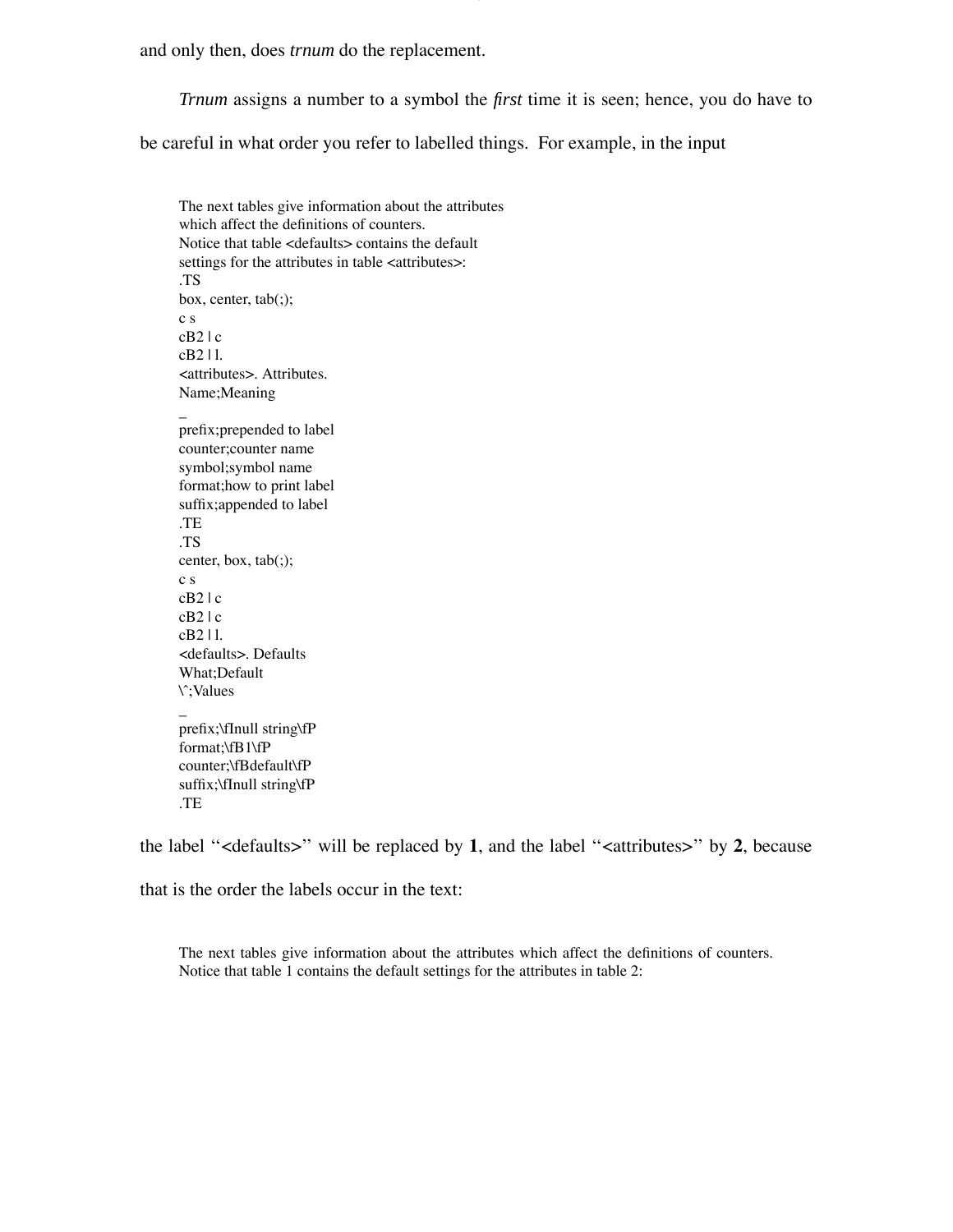and only then, does *trnum* do the replacement.

*Trnum* assigns a number to a symbol the *first* time it is seen; hence, you do have to

be careful in what order you refer to labelled things. For example, in the input

The next tables give information about the attributes which affect the definitions of counters. Notice that table <defaults> contains the default settings for the attributes in table <attributes>: .TS box, center, tab(;); c s cB2 | c cB2 | l. <attributes>. Attributes. Name;Meaning \_ prefix;prepended to label counter;counter name symbol;symbol name format;how to print label suffix;appended to label .TE .TS center, box, tab(;); c s cB2 | c cB2 | c cB2 | l. <defaults>. Defaults What;Default \ˆ;Values \_ prefix;\fInull string\fP format;\fB1\fP counter;\fBdefault\fP suffix;\fInull string\fP .TE

the label ''<defaults>'' will be replaced by **1**, and the label ''<attributes>'' by **2**, because

that is the order the labels occur in the text:

The next tables give information about the attributes which affect the definitions of counters. Notice that table 1 contains the default settings for the attributes in table 2: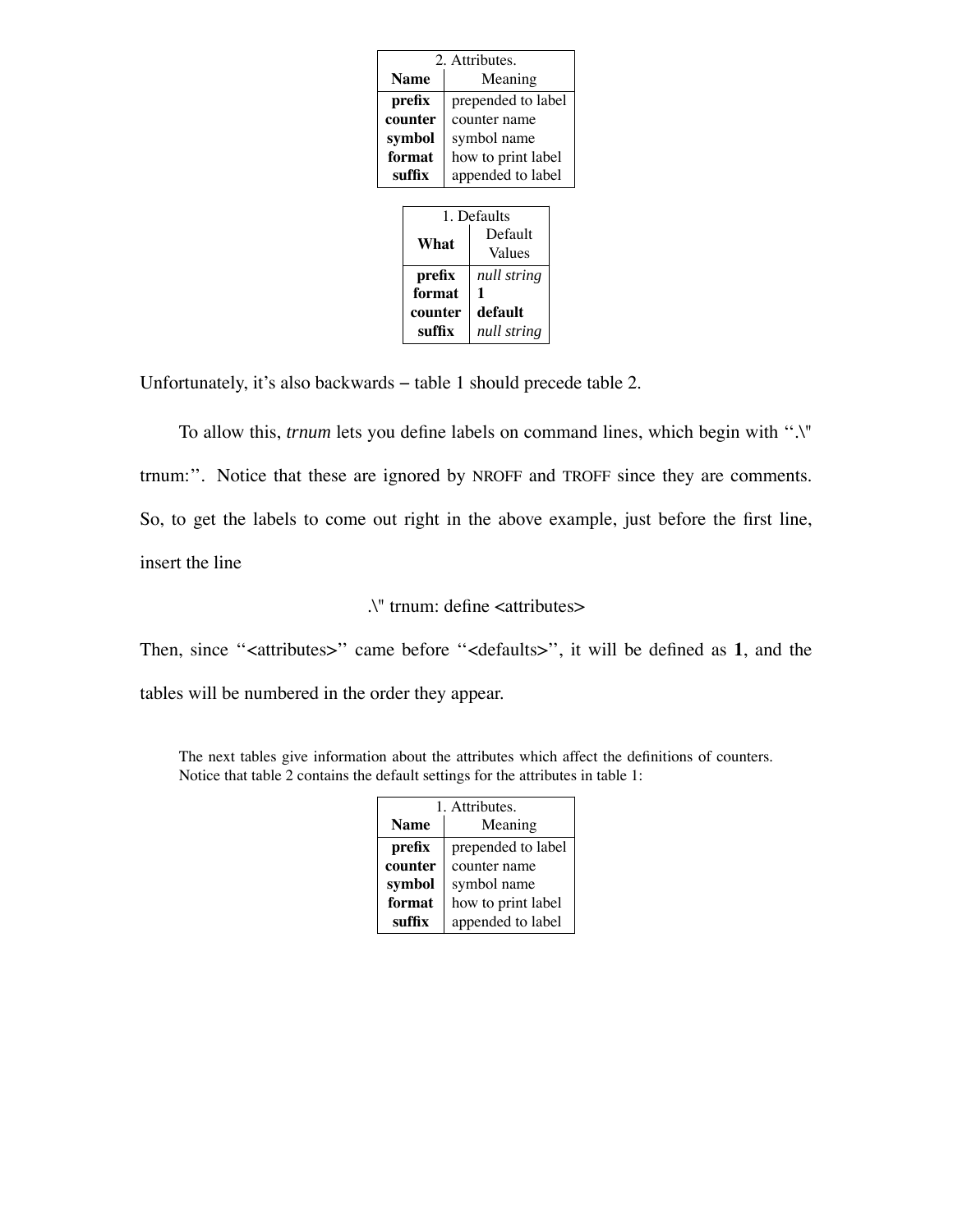| 2. Attributes.              |         |              |                    |  |
|-----------------------------|---------|--------------|--------------------|--|
| <b>Name</b>                 |         |              | Meaning            |  |
| prefix                      |         |              | prepended to label |  |
| counter                     |         | counter name |                    |  |
|                             | symbol  | symbol name  |                    |  |
| format                      |         |              | how to print label |  |
| suffix<br>appended to label |         |              |                    |  |
|                             |         |              |                    |  |
|                             |         |              | 1. Defaults        |  |
|                             | What    |              | Default            |  |
|                             |         |              | Values             |  |
|                             | prefix  |              | null string        |  |
|                             | format  |              | 1                  |  |
|                             | counter |              | default            |  |
|                             | suffix  |              | null string        |  |

Unfortunately, it's also backwards − table 1 should precede table 2.

To allow this, *trnum* lets you define labels on command lines, which begin with ''.\" trnum:''. Notice that these are ignored by NROFF and TROFF since they are comments. So, to get the labels to come out right in the above example, just before the first line, insert the line

# .\" trnum: define <attributes>

Then, since "<attributes>" came before "<defaults>", it will be defined as 1, and the tables will be numbered in the order they appear.

The next tables give information about the attributes which affect the definitions of counters. Notice that table 2 contains the default settings for the attributes in table 1:

| 1. Attributes. |                    |  |
|----------------|--------------------|--|
| <b>Name</b>    | Meaning            |  |
| prefix         | prepended to label |  |
| counter        | counter name       |  |
| symbol         | symbol name        |  |
| format         | how to print label |  |
| suffix         | appended to label  |  |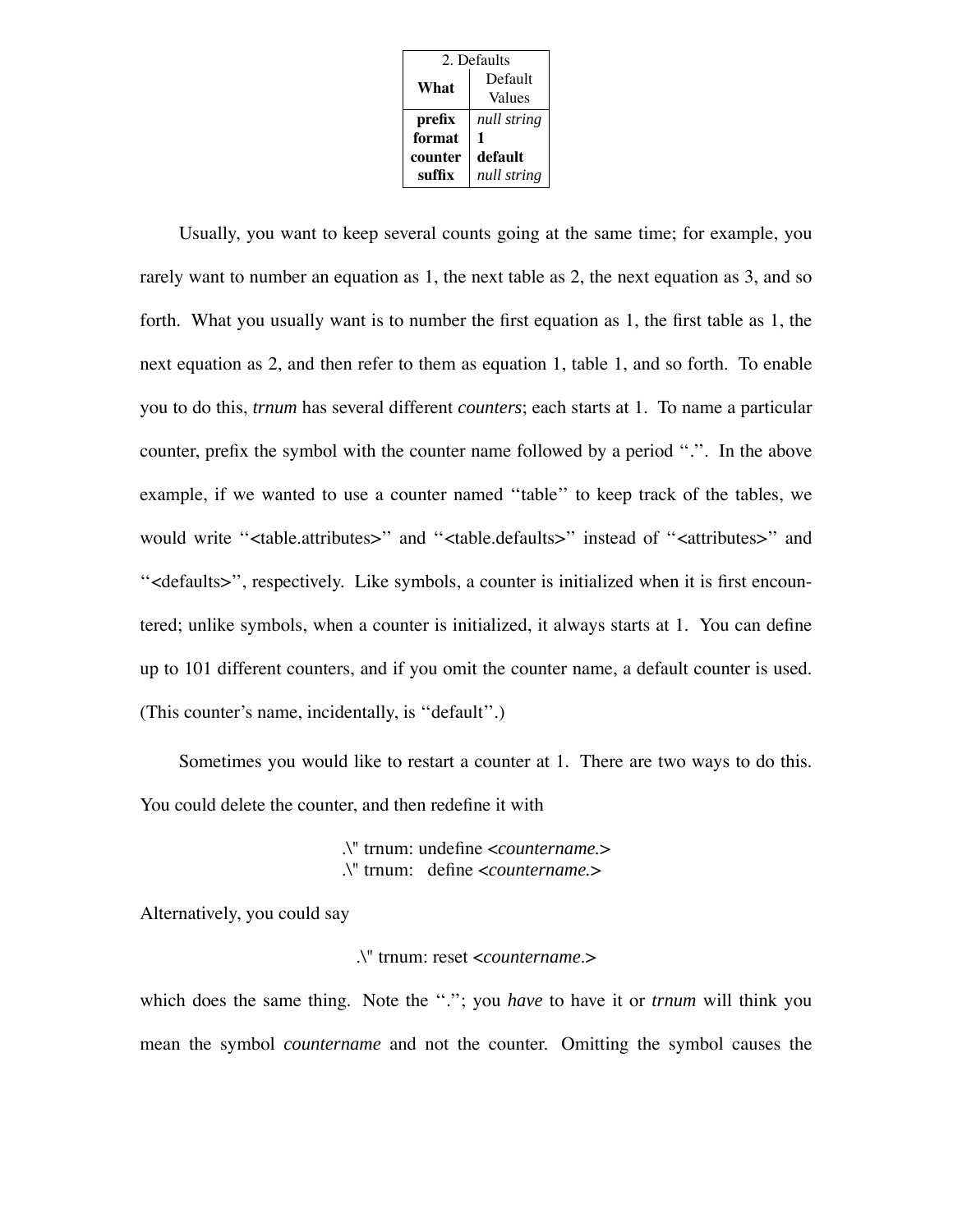| 2. Defaults |             |
|-------------|-------------|
| What        | Default     |
|             | Values      |
| prefix      | null string |
| format      | 1           |
| counter     | default     |
| suffix      | null string |

Usually, you want to keep several counts going at the same time; for example, you rarely want to number an equation as 1, the next table as 2, the next equation as 3, and so forth. What you usually want is to number the first equation as 1, the first table as 1, the next equation as 2, and then refer to them as equation 1, table 1, and so forth. To enable you to do this, *trnum* has several different *counters*; each starts at 1. To name a particular counter, prefix the symbol with the counter name followed by a period ''.''. In the above example, if we wanted to use a counter named ''table'' to keep track of the tables, we would write "<table.attributes>" and "<table.defaults>" instead of "<attributes>" and ''<defaults>'', respectively. Like symbols, a counter is initialized when it is first encountered; unlike symbols, when a counter is initialized, it always starts at 1. You can define up to 101 different counters, and if you omit the counter name, a default counter is used. (This counter's name, incidentally, is ''default''.)

Sometimes you would like to restart a counter at 1. There are two ways to do this. You could delete the counter, and then redefine it with

> .\" trnum: undefine <*countername.*> .\" trnum: define <*countername.*>

Alternatively, you could say

.\" trnum: reset <*countername*.>

which does the same thing. Note the "."; you *have* to have it or *trnum* will think you mean the symbol *countername* and not the counter. Omitting the symbol causes the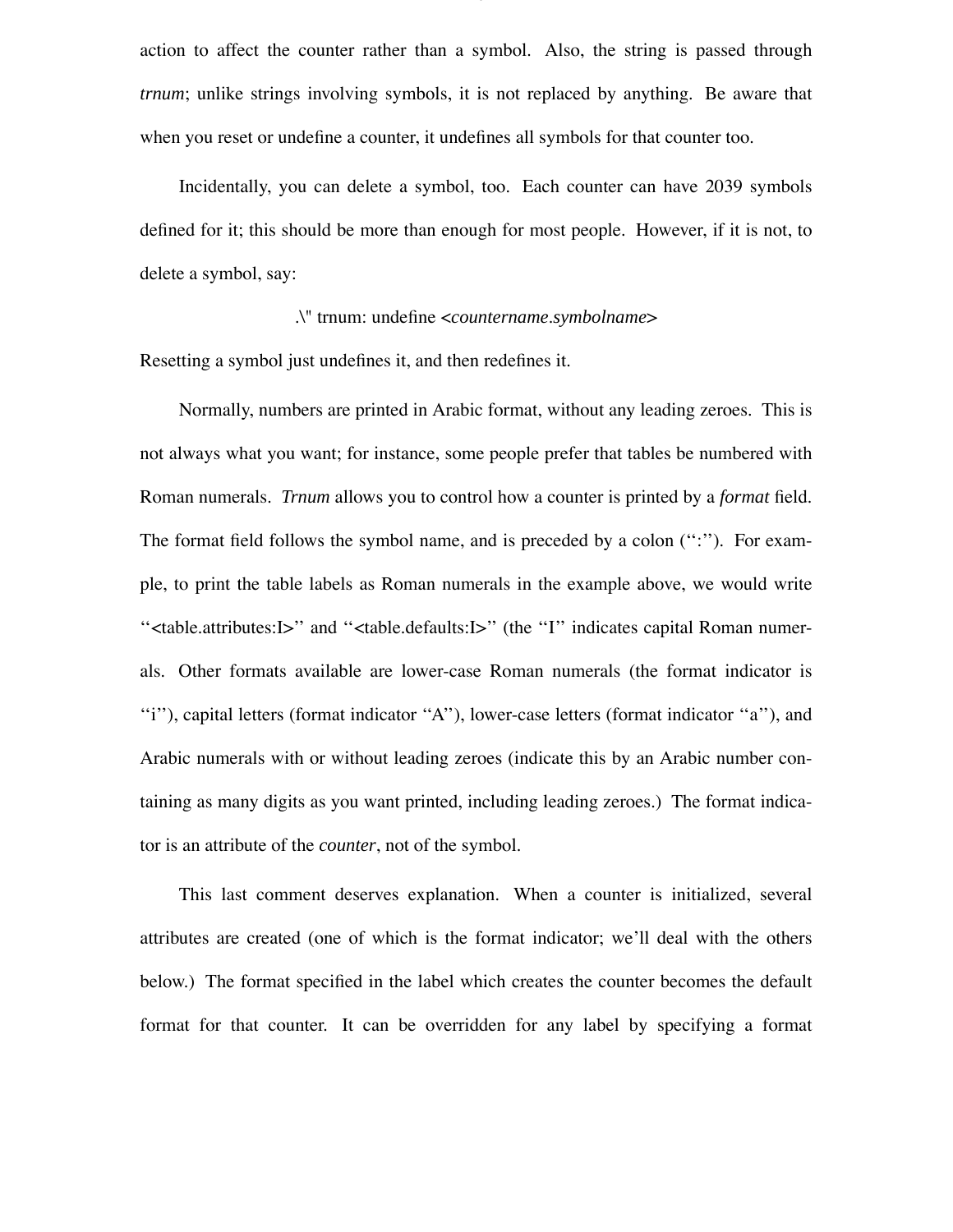action to affect the counter rather than a symbol. Also, the string is passed through *trnum*; unlike strings involving symbols, it is not replaced by anything. Be aware that when you reset or undefine a counter, it undefines all symbols for that counter too.

Incidentally, you can delete a symbol, too. Each counter can have 2039 symbols defined for it; this should be more than enough for most people. However, if it is not, to delete a symbol, say:

#### .\" trnum: undefine <*countername*.*symbolname*>

Resetting a symbol just undefines it, and then redefines it.

Normally, numbers are printed in Arabic format, without any leading zeroes. This is not always what you want; for instance, some people prefer that tables be numbered with Roman numerals. *Trnum* allows you to control how a counter is printed by a *format* field. The format field follows the symbol name, and is preceded by a colon ('':''). For example, to print the table labels as Roman numerals in the example above, we would write ''<table.attributes:I>'' and ''<table.defaults:I>'' (the ''I'' indicates capital Roman numerals. Other formats available are lower-case Roman numerals (the format indicator is "i"), capital letters (format indicator "A"), lower-case letters (format indicator "a"), and Arabic numerals with or without leading zeroes (indicate this by an Arabic number containing as many digits as you want printed, including leading zeroes.) The format indicator is an attribute of the *counter*, not of the symbol.

This last comment deserves explanation. When a counter is initialized, several attributes are created (one of which is the format indicator; we'll deal with the others below.) The format specified in the label which creates the counter becomes the default format for that counter. It can be overridden for any label by specifying a format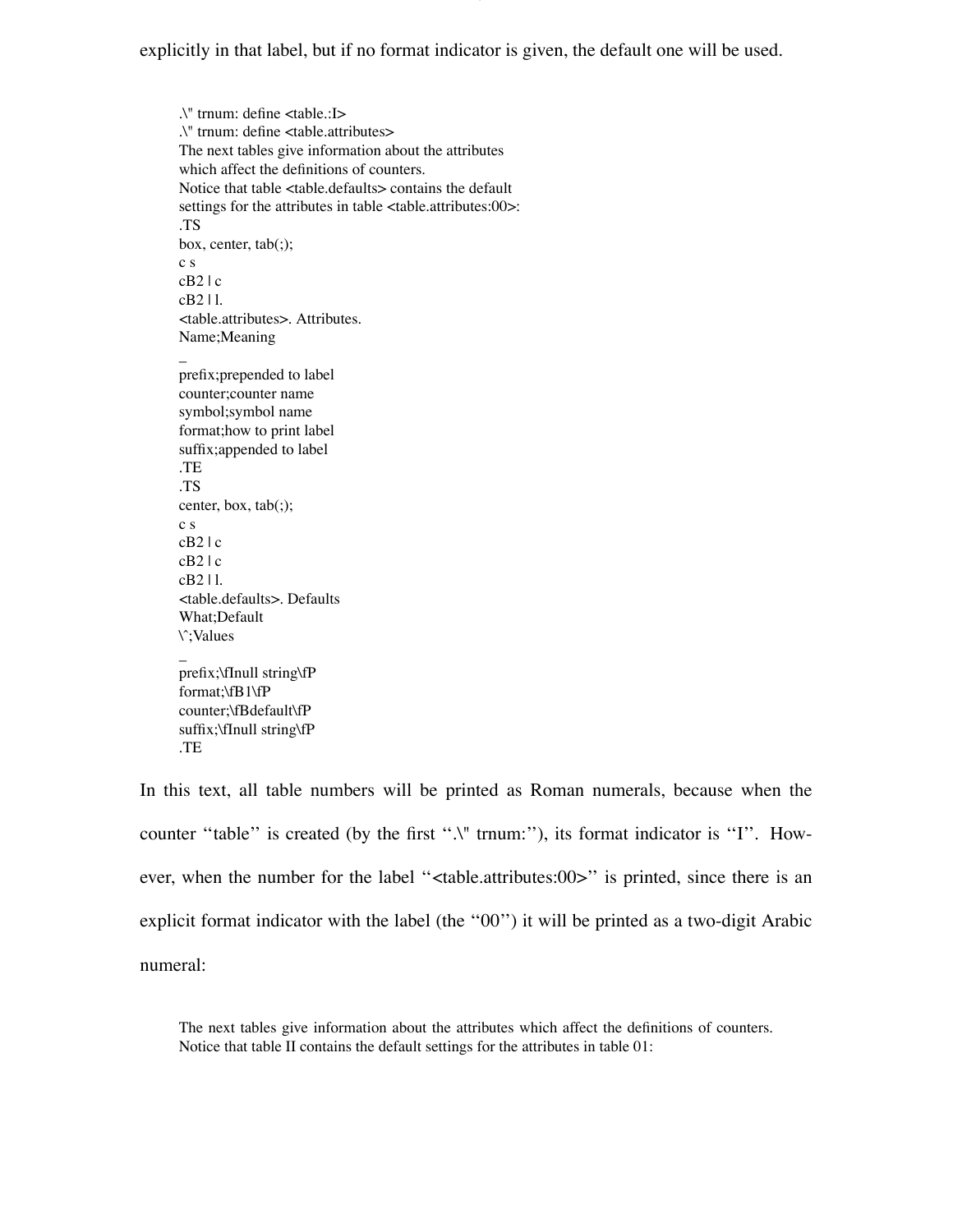.\" trnum: define <table.:I> .\" trnum: define <table.attributes> The next tables give information about the attributes which affect the definitions of counters. Notice that table <table.defaults> contains the default settings for the attributes in table <table.attributes:00>: .TS box, center, tab(;); c s cB2 | c cB2 | l. <table.attributes>. Attributes. Name;Meaning \_ prefix;prepended to label counter;counter name symbol;symbol name format;how to print label suffix;appended to label .TE .TS center, box, tab(;); c s cB2 | c cB2 | c cB2 | l. <table.defaults>. Defaults What;Default \ˆ;Values \_ prefix;\fInull string\fP format;\fB1\fP counter;\fBdefault\fP suffix;\fInull string\fP .TE

In this text, all table numbers will be printed as Roman numerals, because when the counter "table" is created (by the first ".\" trnum:"), its format indicator is "I". However, when the number for the label "<table.attributes:00>" is printed, since there is an explicit format indicator with the label (the "00") it will be printed as a two-digit Arabic numeral:

The next tables give information about the attributes which affect the definitions of counters. Notice that table II contains the default settings for the attributes in table 01: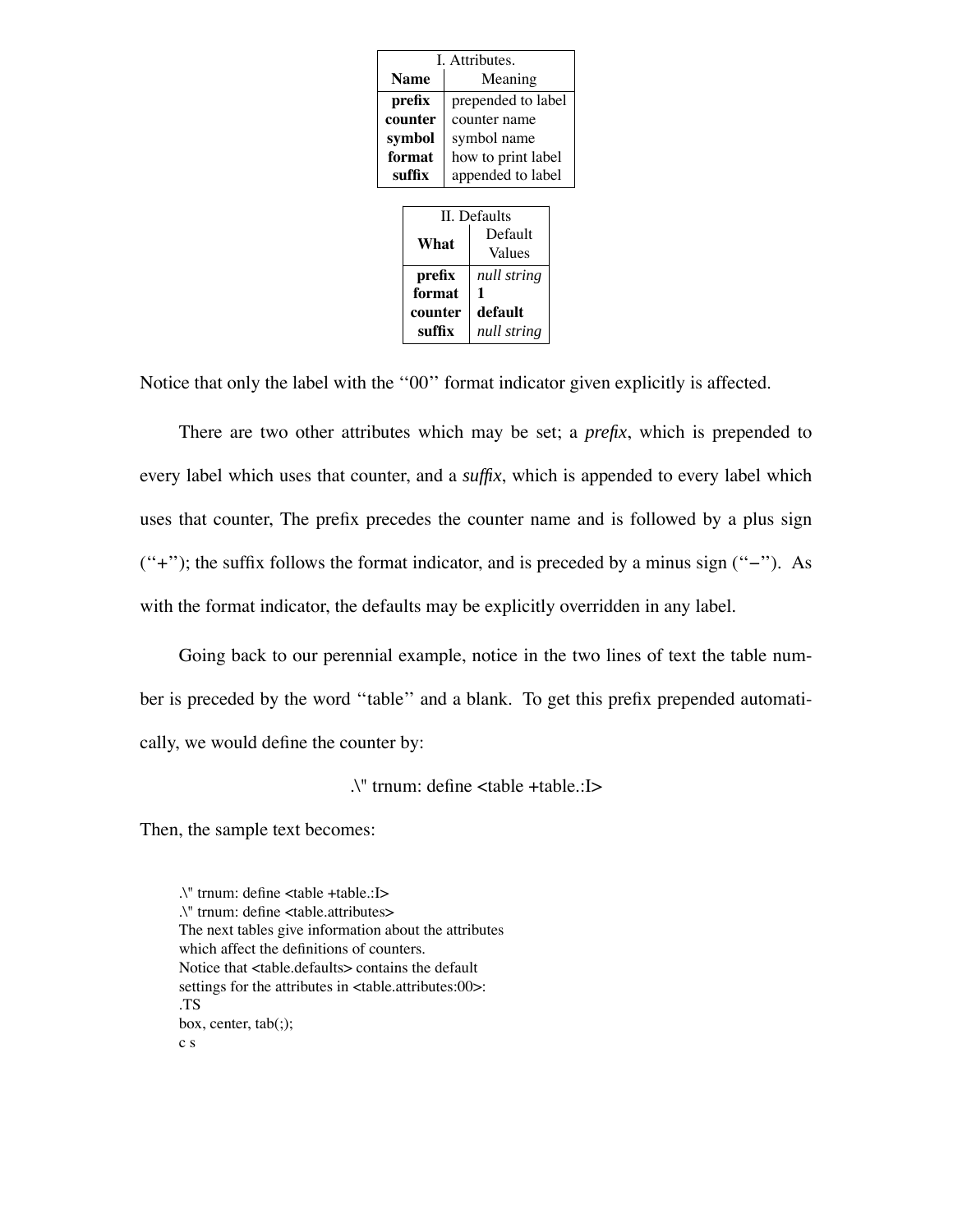|             | I. Attributes. |                    |                    |  |
|-------------|----------------|--------------------|--------------------|--|
| <b>Name</b> |                |                    | Meaning            |  |
| prefix      |                |                    | prepended to label |  |
| counter     |                | counter name       |                    |  |
| symbol      |                | symbol name        |                    |  |
|             | format         | how to print label |                    |  |
| suffix      |                | appended to label  |                    |  |
|             |                |                    |                    |  |
|             |                |                    | II. Defaults       |  |
|             |                |                    | Default            |  |
|             | What           |                    | Values             |  |
|             | prefix         |                    | null string        |  |
|             | format         |                    | 1                  |  |
|             | counter        |                    | default            |  |
|             | suffix         |                    | null string        |  |
|             |                |                    |                    |  |

Notice that only the label with the ''00'' format indicator given explicitly is affected.

There are two other attributes which may be set; a *prefix*, which is prepended to every label which uses that counter, and a *suffix*, which is appended to every label which uses that counter, The prefix precedes the counter name and is followed by a plus sign (''+''); the suffix follows the format indicator, and is preceded by a minus sign (''−''). As with the format indicator, the defaults may be explicitly overridden in any label.

Going back to our perennial example, notice in the two lines of text the table number is preceded by the word ''table'' and a blank. To get this prefix prepended automatically, we would define the counter by:

.\" trnum: define <table +table.:I>

Then, the sample text becomes:

.\" trnum: define <table +table.:I> .\" trnum: define <table.attributes> The next tables give information about the attributes which affect the definitions of counters. Notice that <table.defaults> contains the default settings for the attributes in <table.attributes:00>: .TS box, center, tab(;); c s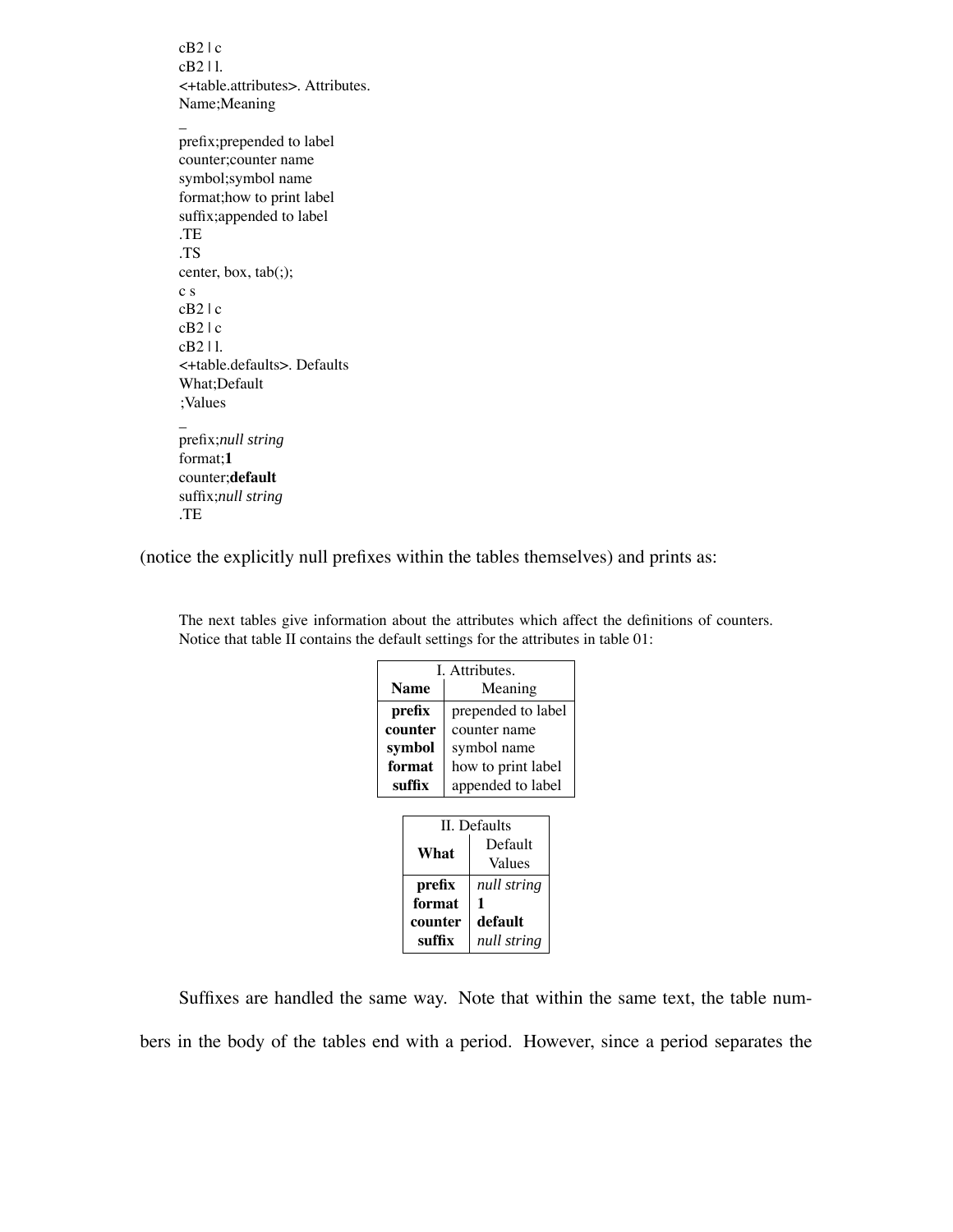cB2 | c cB2 | l. <+table.attributes>. Attributes. Name;Meaning

\_ prefix;prepended to label counter;counter name symbol;symbol name format;how to print label suffix;appended to label .TE .TS center, box, tab(;); c s cB2 | c cB2 | c cB2 | l. <+table.defaults>. Defaults What;Default ;Values \_ prefix;*null string* format;**1** counter;**default** suffix;*null string* .TE

(notice the explicitly null prefixes within the tables themselves) and prints as:

The next tables give information about the attributes which affect the definitions of counters. Notice that table II contains the default settings for the attributes in table 01:

| I. Attributes. |                |                    |                    |  |
|----------------|----------------|--------------------|--------------------|--|
|                | <b>Name</b>    | Meaning            |                    |  |
|                | prefix         | prepended to label |                    |  |
| counter        |                | counter name       |                    |  |
|                | symbol         |                    | symbol name        |  |
|                | format         |                    | how to print label |  |
|                | suffix         |                    | appended to label  |  |
|                |                |                    |                    |  |
|                | II. Defaults   |                    |                    |  |
|                | What<br>prefix |                    | Default            |  |
|                |                |                    | Values             |  |
|                |                |                    | null string        |  |
| format         |                |                    | 1                  |  |
| counter        |                |                    | default            |  |
| suffix         |                |                    | null string        |  |
|                |                |                    |                    |  |

Suffixes are handled the same way. Note that within the same text, the table numbers in the body of the tables end with a period. However, since a period separates the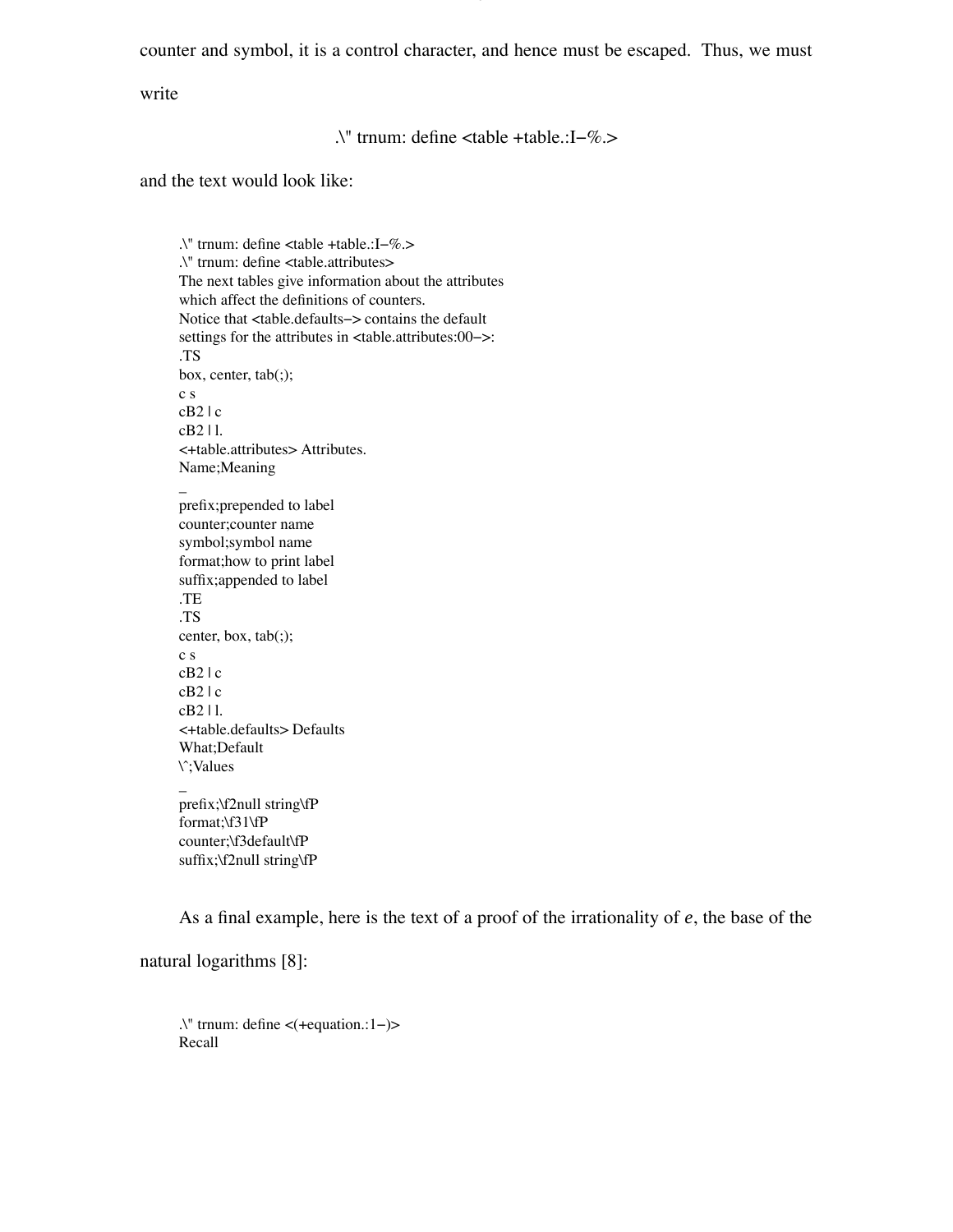counter and symbol, it is a control character, and hence must be escaped. Thus, we must

write

.\" trnum: define <table +table.:I−%.>

and the text would look like:

.\" trnum: define <table +table.:I−%.> .\" trnum: define <table.attributes> The next tables give information about the attributes which affect the definitions of counters. Notice that <table.defaults−> contains the default settings for the attributes in <table.attributes:00−>: .TS box, center, tab(;); c s cB2 | c cB2 | l. <+table.attributes> Attributes. Name;Meaning \_ prefix;prepended to label counter;counter name symbol;symbol name format;how to print label suffix;appended to label .TE .TS center, box, tab(;); c s cB2 | c cB2 | c cB2 | l. <+table.defaults> Defaults What;Default \ˆ;Values \_ prefix;\f2null string\fP format;\f31\fP counter;\f3default\fP suffix;\f2null string\fP

As a final example, here is the text of a proof of the irrationality of *e*, the base of the

natural logarithms [8]:

.\" trnum: define <(+equation.:1−)> Recall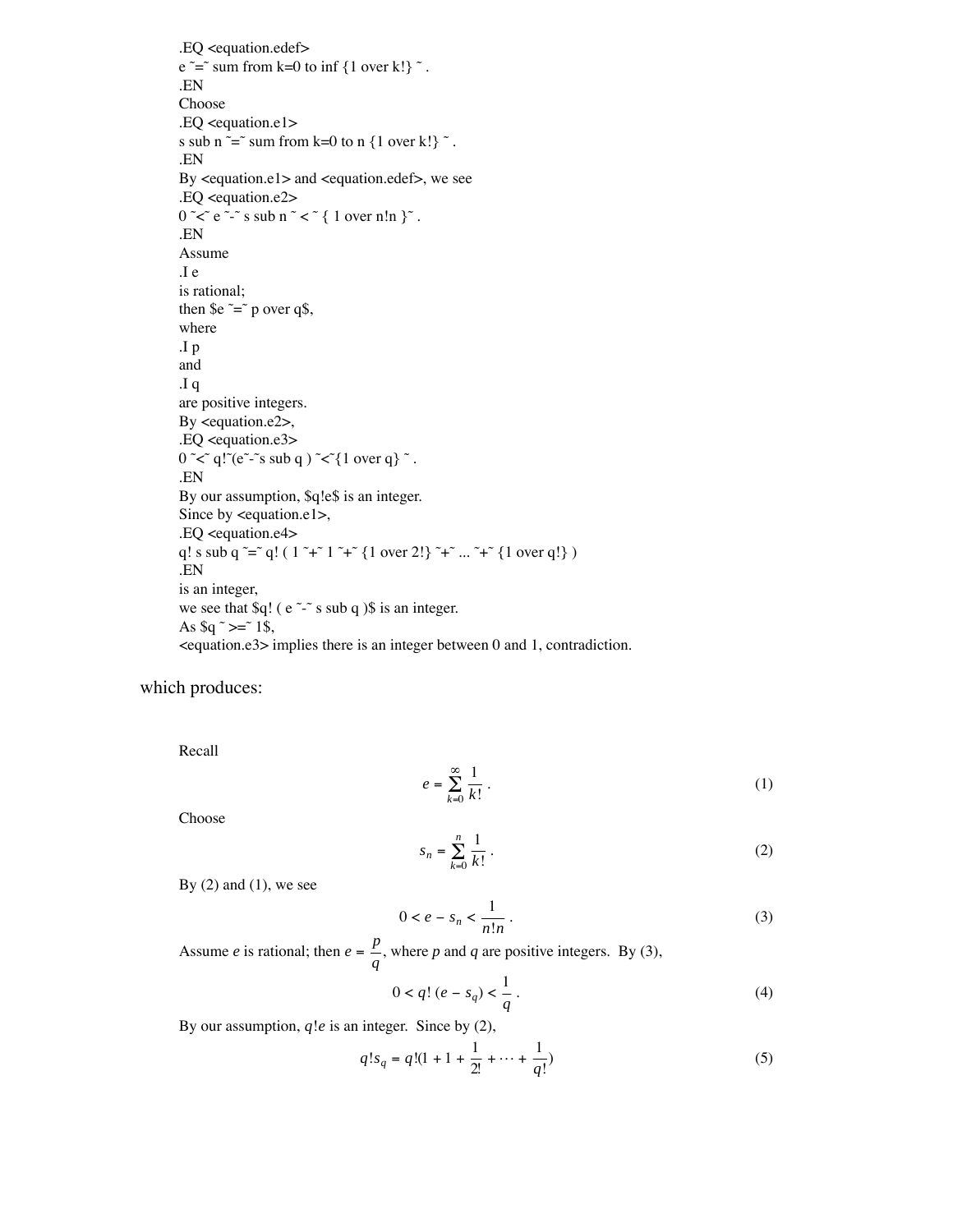```
.EQ <equation.edef>
e \tilde{=} \text{sum from k=0 to inf } \{1 \text{ over k!}\}.
.EN
Choose
.EQ <equation.e1>
s sub n \tilde{=} sum from k=0 to n {1 over k!} \tilde{}.
.EN
By <equation.e1> and <equation.edef>, we see
.EQ <equation.e2>
0 < \infty e \sim s sub n \sim < { 1 over n!n }\sim.
.EN
Assume
.I e
is rational;
then \frac{1}{2}e^{-\frac{1}{2}} p over q$,
where
.I p
and
.I q
are positive integers.
By <equation.e2>,
.EQ <equation.e3>
0 \leq \frac{1}{e^{\epsilon}} q!"(e<sup>\epsilon-\epsilons sub q ) \leq \frac{1}{2} over q \epsilon</sup>
.EN
By our assumption, $q!e$ is an integer.
Since by <equation.e1>,
.EQ <equation.e4>
q! s sub q \tilde{=} q! ( 1 \tilde{} + 1 \tilde{} + 3 {1 over 2!} \tilde{} + \tilde{} \ldots \tilde{} + \tilde{} {1 over q!} )
.EN
is an integer,
we see that \qquadq! ( e ~-~~ s sub q )$ is an integer.
As \gamma = 1$,
\alpha <equation.e3> implies there is an integer between 0 and 1, contradiction.
```
which produces:

Recall

$$
e = \sum_{k=0}^{\infty} \frac{1}{k!} \,. \tag{1}
$$

Choose

$$
s_n = \sum_{k=0}^n \frac{1}{k!} \,. \tag{2}
$$

By  $(2)$  and  $(1)$ , we see

$$
0 < e - s_n < \frac{1}{n!n} \,. \tag{3}
$$

Assume *e* is rational; then  $e = \frac{p}{q}$ , where *p* and *q* are positive integers. By (3),

$$
0 < q! \left( e - s_q \right) < \frac{1}{q} \tag{4}
$$

By our assumption, *q*!*e* is an integer. Since by (2),

$$
q!s_q = q!(1+1+\frac{1}{2!}+\cdots+\frac{1}{q!})
$$
\n(5)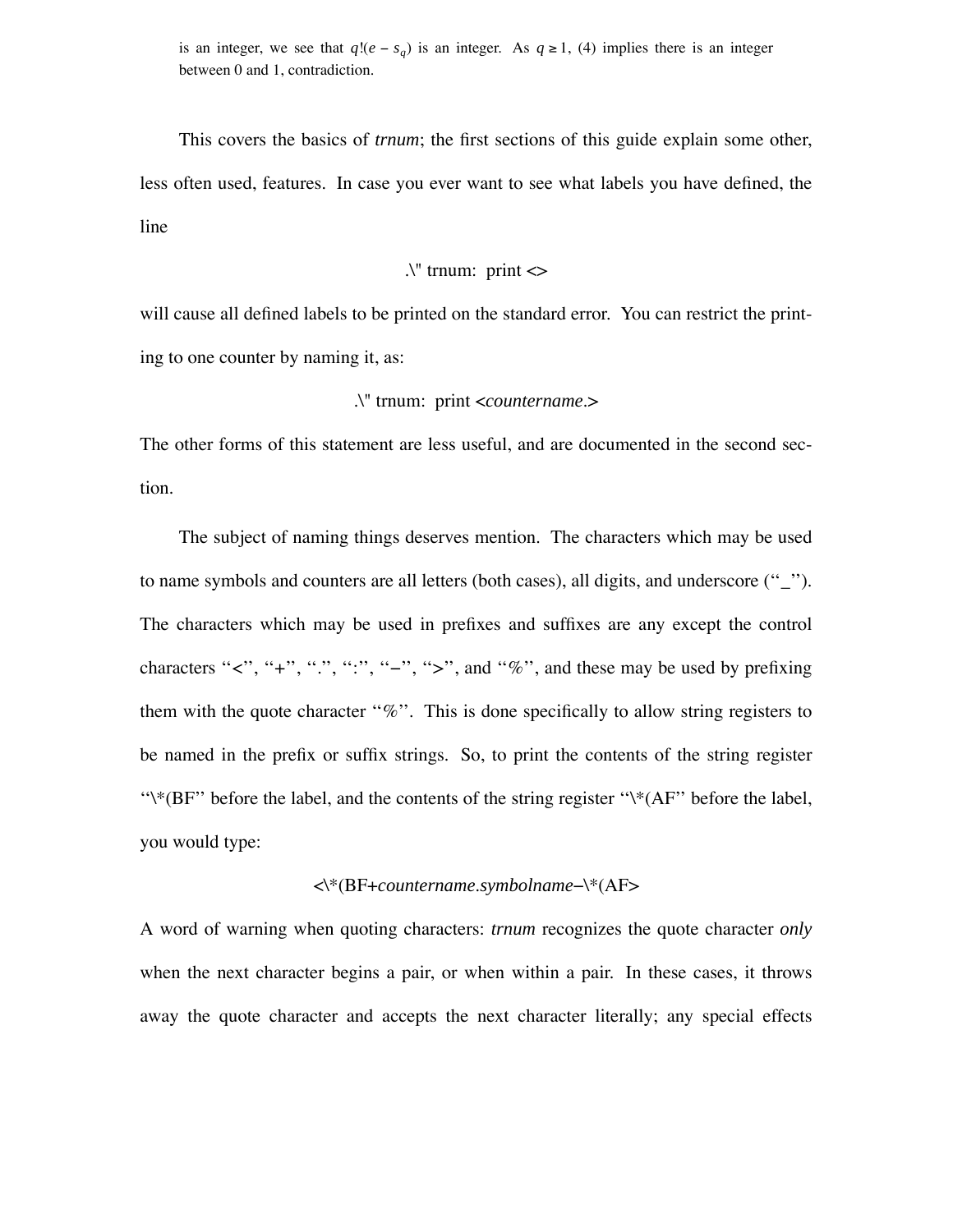is an integer, we see that  $q!(e - s_q)$  is an integer. As  $q \ge 1$ , (4) implies there is an integer between 0 and 1, contradiction.

This covers the basics of *trnum*; the first sections of this guide explain some other, less often used, features. In case you ever want to see what labels you have defined, the line

#### $\lambda$ " trnum: print  $\langle \rangle$

will cause all defined labels to be printed on the standard error. You can restrict the printing to one counter by naming it, as:

#### .\" trnum: print <*countername*.>

The other forms of this statement are less useful, and are documented in the second section.

The subject of naming things deserves mention. The characters which may be used to name symbols and counters are all letters (both cases), all digits, and underscore (''\_''). The characters which may be used in prefixes and suffixes are any except the control characters " $\langle$ ", "+", ".", ":", "-", ">", and "%", and these may be used by prefixing them with the quote character " $\%$ ". This is done specifically to allow string registers to be named in the prefix or suffix strings. So, to print the contents of the string register "\\*( $BF'$ ' before the label, and the contents of the string register " $\angle$ \*( $AF'$ ' before the label, you would type:

## <\\*(BF+*countername*.*symbolname*−\\*(AF>

A word of warning when quoting characters: *trnum* recognizes the quote character *only* when the next character begins a pair, or when within a pair. In these cases, it throws away the quote character and accepts the next character literally; any special effects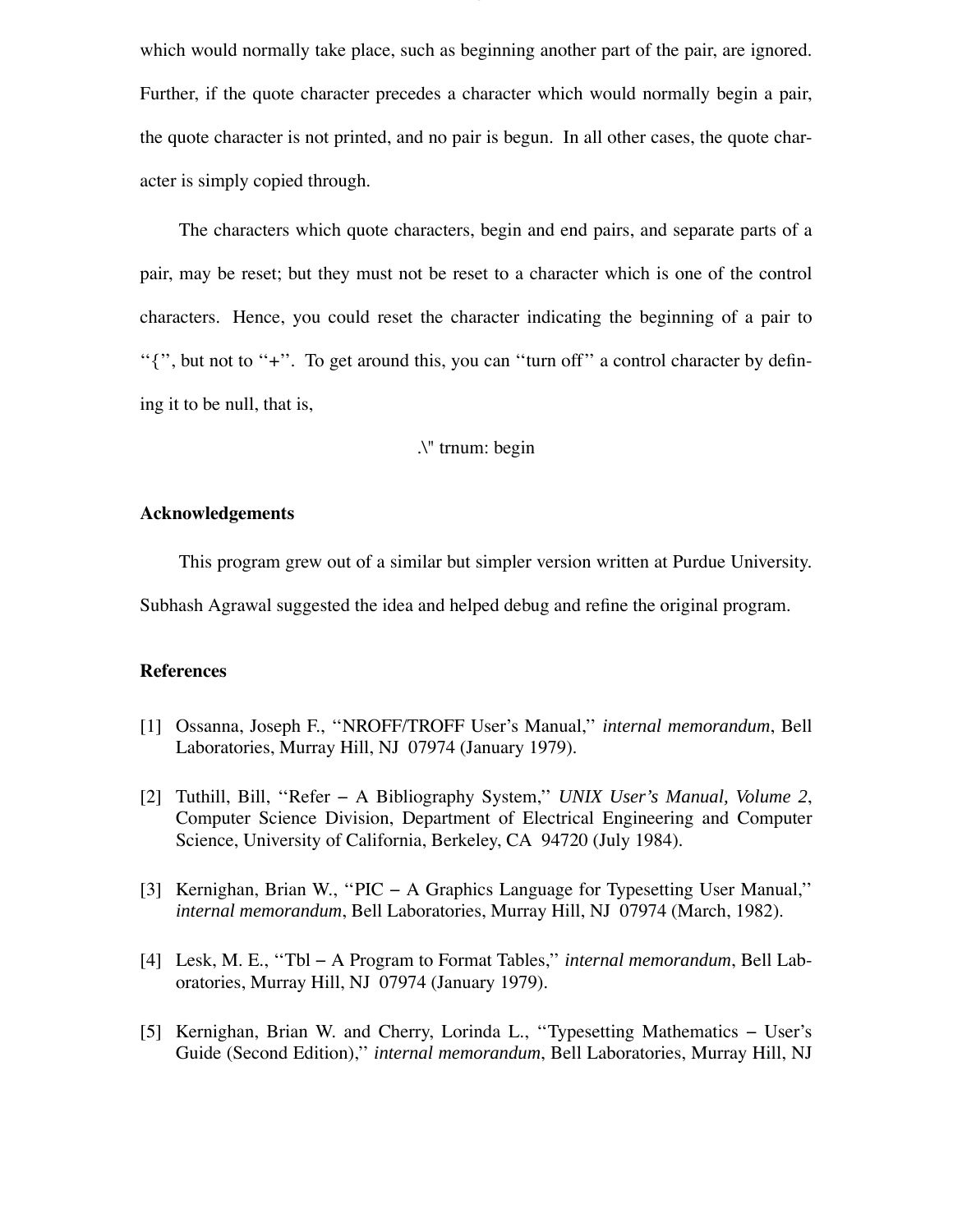which would normally take place, such as beginning another part of the pair, are ignored. Further, if the quote character precedes a character which would normally begin a pair, the quote character is not printed, and no pair is begun. In all other cases, the quote character is simply copied through.

The characters which quote characters, begin and end pairs, and separate parts of a pair, may be reset; but they must not be reset to a character which is one of the control characters. Hence, you could reset the character indicating the beginning of a pair to "{", but not to "+". To get around this, you can "turn off" a control character by defining it to be null, that is,

# .\" trnum: begin

## **Acknowledgements**

This program grew out of a similar but simpler version written at Purdue University.

Subhash Agrawal suggested the idea and helped debug and refine the original program.

#### **References**

- [1] Ossanna, Joseph F., ''NROFF/TROFF User's Manual,'' *internal memorandum*, Bell Laboratories, Murray Hill, NJ 07974 (January 1979).
- [2] Tuthill, Bill, ''Refer − A Bibliography System,'' *UNIX User's Manual, Volume 2*, Computer Science Division, Department of Electrical Engineering and Computer Science, University of California, Berkeley, CA 94720 (July 1984).
- [3] Kernighan, Brian W., "PIC A Graphics Language for Typesetting User Manual," *internal memorandum*, Bell Laboratories, Murray Hill, NJ 07974 (March, 1982).
- [4] Lesk, M. E., ''Tbl − A Program to Format Tables,'' *internal memorandum*, Bell Laboratories, Murray Hill, NJ 07974 (January 1979).
- [5] Kernighan, Brian W. and Cherry, Lorinda L., ''Typesetting Mathematics − User's Guide (Second Edition),'' *internal memorandum*, Bell Laboratories, Murray Hill, NJ